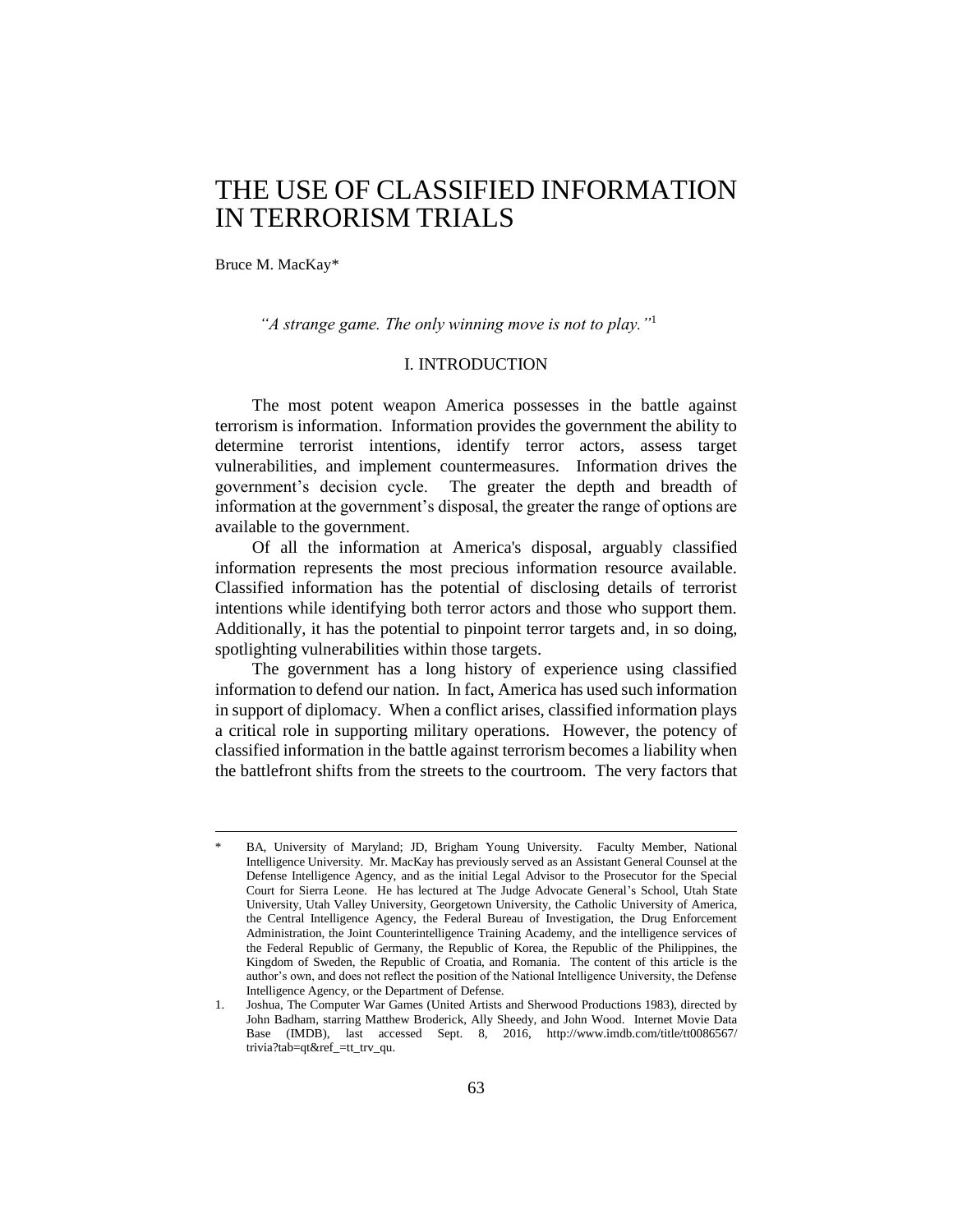# THE USE OF CLASSIFIED INFORMATION IN TERRORISM TRIALS

Bruce M. MacKay\*

<u>.</u>

*"A strange game. The only winning move is not to play."*<sup>1</sup>

# I. INTRODUCTION

The most potent weapon America possesses in the battle against terrorism is information. Information provides the government the ability to determine terrorist intentions, identify terror actors, assess target vulnerabilities, and implement countermeasures. Information drives the government's decision cycle. The greater the depth and breadth of information at the government's disposal, the greater the range of options are available to the government.

Of all the information at America's disposal, arguably classified information represents the most precious information resource available. Classified information has the potential of disclosing details of terrorist intentions while identifying both terror actors and those who support them. Additionally, it has the potential to pinpoint terror targets and, in so doing, spotlighting vulnerabilities within those targets.

The government has a long history of experience using classified information to defend our nation. In fact, America has used such information in support of diplomacy. When a conflict arises, classified information plays a critical role in supporting military operations. However, the potency of classified information in the battle against terrorism becomes a liability when the battlefront shifts from the streets to the courtroom. The very factors that

BA, University of Maryland; JD, Brigham Young University. Faculty Member, National Intelligence University. Mr. MacKay has previously served as an Assistant General Counsel at the Defense Intelligence Agency, and as the initial Legal Advisor to the Prosecutor for the Special Court for Sierra Leone. He has lectured at The Judge Advocate General's School, Utah State University, Utah Valley University, Georgetown University, the Catholic University of America, the Central Intelligence Agency, the Federal Bureau of Investigation, the Drug Enforcement Administration, the Joint Counterintelligence Training Academy, and the intelligence services of the Federal Republic of Germany, the Republic of Korea, the Republic of the Philippines, the Kingdom of Sweden, the Republic of Croatia, and Romania. The content of this article is the author's own, and does not reflect the position of the National Intelligence University, the Defense Intelligence Agency, or the Department of Defense.

<sup>1.</sup> Joshua, The Computer War Games (United Artists and Sherwood Productions 1983), directed by John Badham, starring Matthew Broderick, Ally Sheedy, and John Wood. Internet Movie Data Base (IMDB), last accessed Sept. 8, 2016, http://www.imdb.com/title/tt0086567/ trivia?tab=qt&ref\_=tt\_trv\_qu.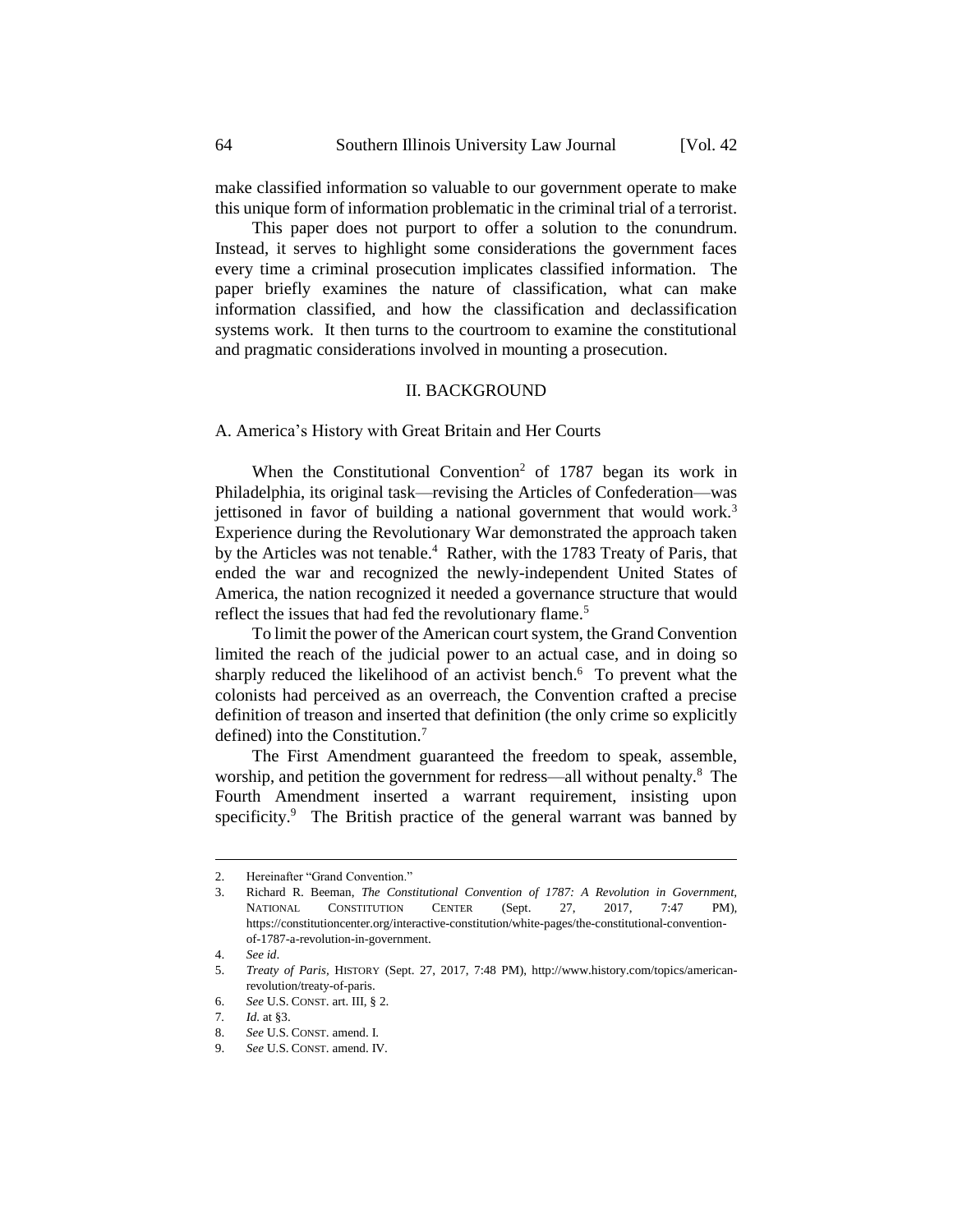make classified information so valuable to our government operate to make this unique form of information problematic in the criminal trial of a terrorist.

This paper does not purport to offer a solution to the conundrum. Instead, it serves to highlight some considerations the government faces every time a criminal prosecution implicates classified information. The paper briefly examines the nature of classification, what can make information classified, and how the classification and declassification systems work. It then turns to the courtroom to examine the constitutional and pragmatic considerations involved in mounting a prosecution.

#### II. BACKGROUND

A. America's History with Great Britain and Her Courts

When the Constitutional Convention<sup>2</sup> of 1787 began its work in Philadelphia, its original task—revising the Articles of Confederation—was jettisoned in favor of building a national government that would work.<sup>3</sup> Experience during the Revolutionary War demonstrated the approach taken by the Articles was not tenable.<sup>4</sup> Rather, with the 1783 Treaty of Paris, that ended the war and recognized the newly-independent United States of America, the nation recognized it needed a governance structure that would reflect the issues that had fed the revolutionary flame.<sup>5</sup>

To limit the power of the American court system, the Grand Convention limited the reach of the judicial power to an actual case, and in doing so sharply reduced the likelihood of an activist bench.<sup>6</sup> To prevent what the colonists had perceived as an overreach, the Convention crafted a precise definition of treason and inserted that definition (the only crime so explicitly defined) into the Constitution.<sup>7</sup>

The First Amendment guaranteed the freedom to speak, assemble, worship, and petition the government for redress—all without penalty.<sup>8</sup> The Fourth Amendment inserted a warrant requirement, insisting upon specificity.<sup>9</sup> The British practice of the general warrant was banned by

<u>.</u>

<sup>2.</sup> Hereinafter "Grand Convention"

<sup>3.</sup> Richard R. Beeman, *The Constitutional Convention of 1787: A Revolution in Government,*  NATIONAL CONSTITUTION CENTER (Sept. 27, 2017, 7:47 PM), https://constitutioncenter.org/interactive-constitution/white-pages/the-constitutional-conventionof-1787-a-revolution-in-government.

<sup>4.</sup> *See id*.

<sup>5.</sup> *Treaty of Paris,* HISTORY (Sept. 27, 2017, 7:48 PM), http://www.history.com/topics/americanrevolution/treaty-of-paris.

<sup>6.</sup> *See* U.S. CONST. art. III, § 2.

<sup>7</sup>*. Id.* at §3.

<sup>8.</sup> *See* U.S. CONST. amend. I.

<sup>9.</sup> *See* U.S. CONST. amend. IV.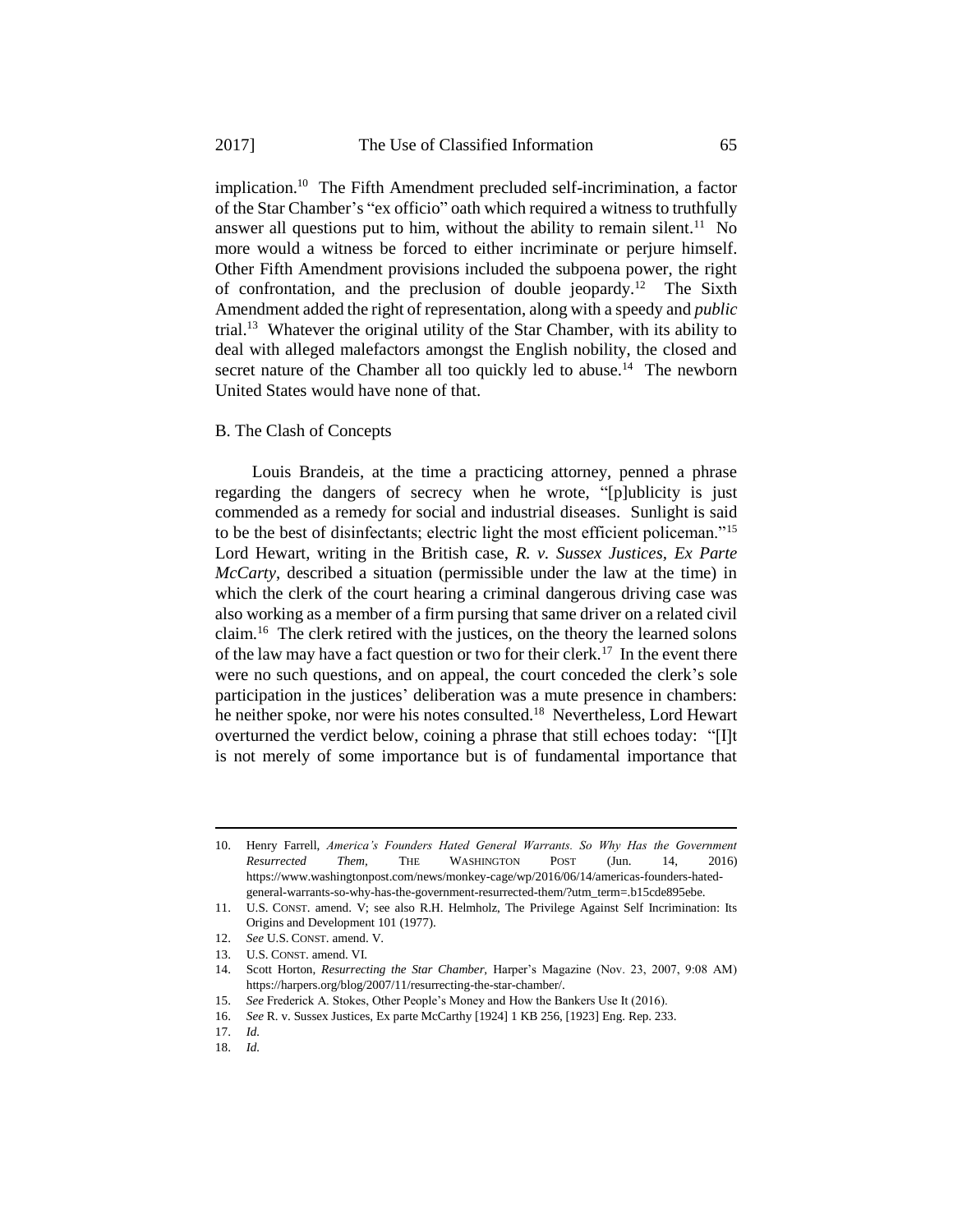implication.<sup>10</sup> The Fifth Amendment precluded self-incrimination, a factor of the Star Chamber's "ex officio" oath which required a witness to truthfully answer all questions put to him, without the ability to remain silent.<sup>11</sup> No more would a witness be forced to either incriminate or perjure himself. Other Fifth Amendment provisions included the subpoena power, the right of confrontation, and the preclusion of double jeopardy.<sup>12</sup> The Sixth Amendment added the right of representation, along with a speedy and *public*  trial.<sup>13</sup> Whatever the original utility of the Star Chamber, with its ability to deal with alleged malefactors amongst the English nobility, the closed and secret nature of the Chamber all too quickly led to abuse.<sup>14</sup> The newborn United States would have none of that.

#### B. The Clash of Concepts

Louis Brandeis, at the time a practicing attorney, penned a phrase regarding the dangers of secrecy when he wrote, "[p]ublicity is just commended as a remedy for social and industrial diseases. Sunlight is said to be the best of disinfectants; electric light the most efficient policeman."<sup>15</sup> Lord Hewart, writing in the British case, *R. v. Sussex Justices, Ex Parte McCarty*, described a situation (permissible under the law at the time) in which the clerk of the court hearing a criminal dangerous driving case was also working as a member of a firm pursing that same driver on a related civil claim.<sup>16</sup> The clerk retired with the justices, on the theory the learned solons of the law may have a fact question or two for their clerk.<sup>17</sup> In the event there were no such questions, and on appeal, the court conceded the clerk's sole participation in the justices' deliberation was a mute presence in chambers: he neither spoke, nor were his notes consulted.<sup>18</sup> Nevertheless, Lord Hewart overturned the verdict below, coining a phrase that still echoes today: "[I]t is not merely of some importance but is of fundamental importance that

<sup>10.</sup> Henry Farrell, *America's Founders Hated General Warrants. So Why Has the Government Resurrected Them,* THE WASHINGTON POST (Jun. 14, 2016) https://www.washingtonpost.com/news/monkey-cage/wp/2016/06/14/americas-founders-hatedgeneral-warrants-so-why-has-the-government-resurrected-them/?utm\_term=.b15cde895ebe.

<sup>11.</sup> U.S. CONST. amend. V; see also R.H. Helmholz, The Privilege Against Self Incrimination: Its Origins and Development 101 (1977).

<sup>12.</sup> *See* U.S. CONST. amend. V.

<sup>13.</sup> U.S. CONST. amend. VI.

<sup>14.</sup> Scott Horton, *Resurrecting the Star Chamber,* Harper's Magazine (Nov. 23, 2007, 9:08 AM) https://harpers.org/blog/2007/11/resurrecting-the-star-chamber/.

<sup>15.</sup> *See* Frederick A. Stokes, Other People's Money and How the Bankers Use It (2016).

<sup>16.</sup> *See* R. v. Sussex Justices, Ex parte McCarthy [1924] 1 KB 256, [1923] Eng. Rep. 233.

<sup>17.</sup> *Id.*

<sup>18.</sup> *Id.*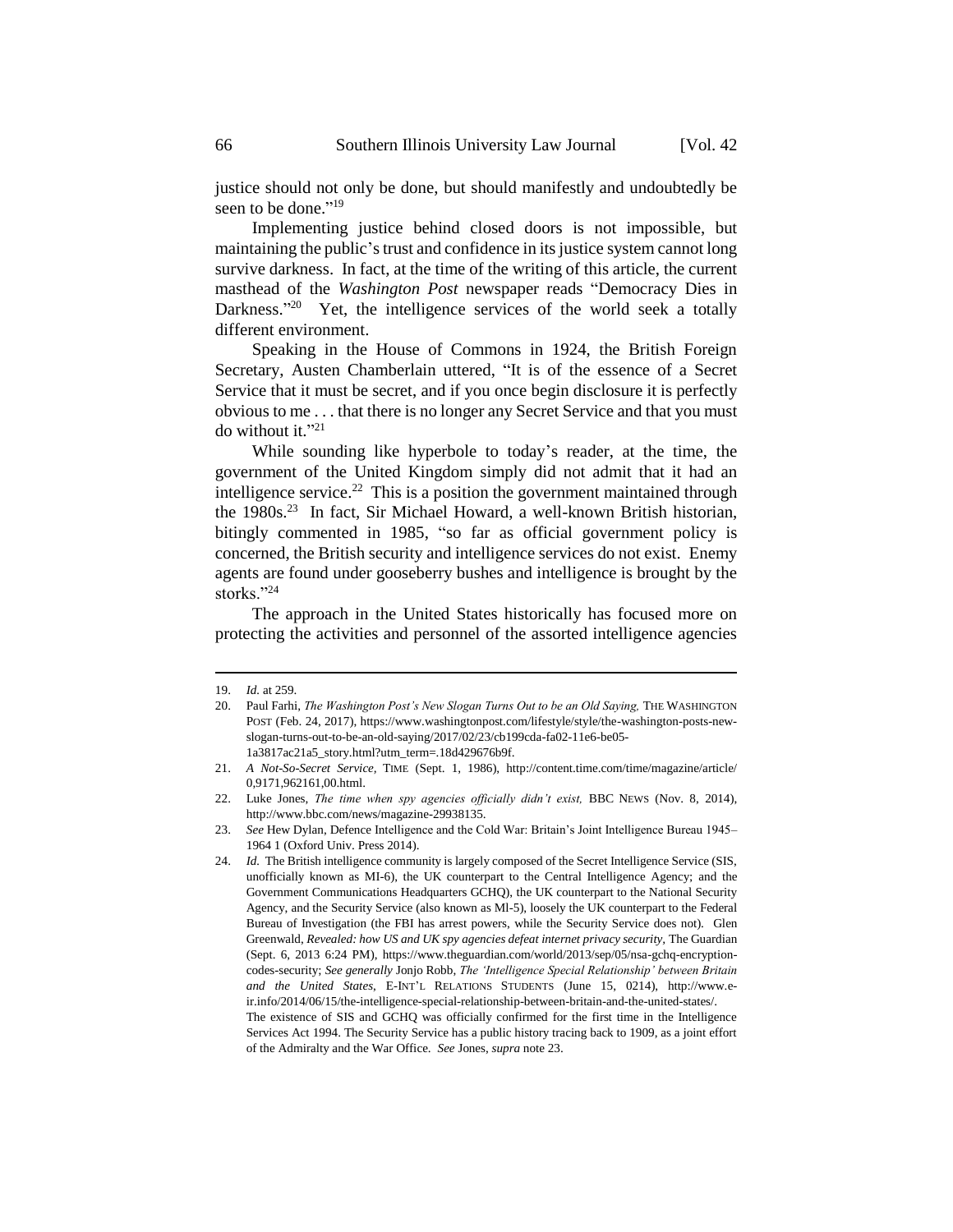justice should not only be done, but should manifestly and undoubtedly be seen to be done." 19

Implementing justice behind closed doors is not impossible, but maintaining the public's trust and confidence in its justice system cannot long survive darkness. In fact, at the time of the writing of this article, the current masthead of the *Washington Post* newspaper reads "Democracy Dies in Darkness."<sup>20</sup> Yet, the intelligence services of the world seek a totally different environment.

Speaking in the House of Commons in 1924, the British Foreign Secretary, Austen Chamberlain uttered, "It is of the essence of a Secret Service that it must be secret, and if you once begin disclosure it is perfectly obvious to me . . . that there is no longer any Secret Service and that you must do without it." 21

While sounding like hyperbole to today's reader, at the time, the government of the United Kingdom simply did not admit that it had an intelligence service.<sup>22</sup> This is a position the government maintained through the 1980s.<sup>23</sup> In fact, Sir Michael Howard, a well-known British historian, bitingly commented in 1985, "so far as official government policy is concerned, the British security and intelligence services do not exist. Enemy agents are found under gooseberry bushes and intelligence is brought by the storks."<sup>24</sup>

The approach in the United States historically has focused more on protecting the activities and personnel of the assorted intelligence agencies

<u>.</u>

<sup>19.</sup> *Id.* at 259.

<sup>20.</sup> Paul Farhi, *The Washington Post's New Slogan Turns Out to be an Old Saying*, THE WASHINGTON POST (Feb. 24, 2017), https://www.washingtonpost.com/lifestyle/style/the-washington-posts-newslogan-turns-out-to-be-an-old-saying/2017/02/23/cb199cda-fa02-11e6-be05- 1a3817ac21a5\_story.html?utm\_term=.18d429676b9f.

<sup>21.</sup> *A Not-So-Secret Service,* TIME (Sept. 1, 1986), http://content.time.com/time/magazine/article/ 0,9171,962161,00.html.

<sup>22.</sup> Luke Jones, *The time when spy agencies officially didn't exist,* BBC NEWS (Nov. 8, 2014), [http://www.bbc.com/news/magazine-29938135.](http://www.bbc.com/news/magazine-29938135)

<sup>23.</sup> *See* Hew Dylan, Defence Intelligence and the Cold War: Britain's Joint Intelligence Bureau 1945– 1964 1 (Oxford Univ. Press 2014).

<sup>24.</sup> *Id.* The British intelligence community is largely composed of the Secret Intelligence Service (SIS, unofficially known as MI-6), the UK counterpart to the Central Intelligence Agency; and the Government Communications Headquarters GCHQ), the UK counterpart to the National Security Agency, and the Security Service (also known as Ml-5), loosely the UK counterpart to the Federal Bureau of Investigation (the FBI has arrest powers, while the Security Service does not). Glen Greenwald, *Revealed: how US and UK spy agencies defeat internet privacy security,* The Guardian (Sept. 6, 2013 6:24 PM), https://www.theguardian.com/world/2013/sep/05/nsa-gchq-encryptioncodes-security; *See generally* Jonjo Robb, *The 'Intelligence Special Relationship' between Britain and the United States*, E-INT'L RELATIONS STUDENTS (June 15, 0214), http://www.eir.info/2014/06/15/the-intelligence-special-relationship-between-britain-and-the-united-states/. The existence of SIS and GCHQ was officially confirmed for the first time in the Intelligence

Services Act 1994. The Security Service has a public history tracing back to 1909, as a joint effort of the Admiralty and the War Office. *See* Jones, *supra* note 23.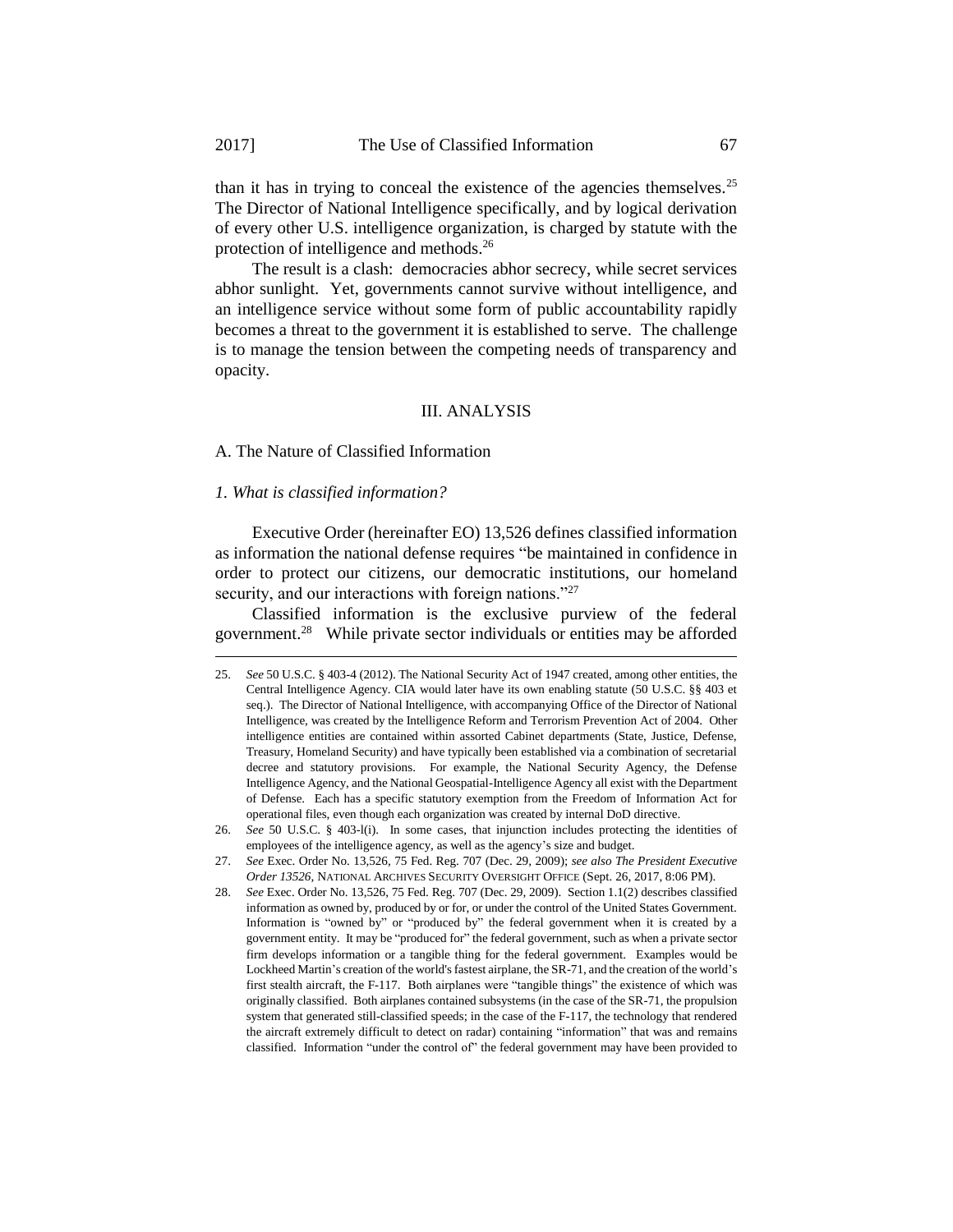than it has in trying to conceal the existence of the agencies themselves.<sup>25</sup> The Director of National Intelligence specifically, and by logical derivation of every other U.S. intelligence organization, is charged by statute with the protection of intelligence and methods.<sup>26</sup>

The result is a clash: democracies abhor secrecy, while secret services abhor sunlight. Yet, governments cannot survive without intelligence, and an intelligence service without some form of public accountability rapidly becomes a threat to the government it is established to serve. The challenge is to manage the tension between the competing needs of transparency and opacity.

#### III. ANALYSIS

A. The Nature of Classified Information

#### *1. What is classified information?*

1

Executive Order (hereinafter EO) 13,526 defines classified information as information the national defense requires "be maintained in confidence in order to protect our citizens, our democratic institutions, our homeland security, and our interactions with foreign nations."<sup>27</sup>

Classified information is the exclusive purview of the federal government.<sup>28</sup> While private sector individuals or entities may be afforded

<sup>25.</sup> *See* 50 U.S.C. § 403-4 (2012). The National Security Act of 1947 created, among other entities, the Central Intelligence Agency. CIA would later have its own enabling statute (50 U.S.C. §§ 403 et seq.). The Director of National Intelligence, with accompanying Office of the Director of National Intelligence, was created by the Intelligence Reform and Terrorism Prevention Act of 2004. Other intelligence entities are contained within assorted Cabinet departments (State, Justice, Defense, Treasury, Homeland Security) and have typically been established via a combination of secretarial decree and statutory provisions. For example, the National Security Agency, the Defense Intelligence Agency, and the National Geospatial-Intelligence Agency all exist with the Department of Defense. Each has a specific statutory exemption from the Freedom of Information Act for operational files, even though each organization was created by internal DoD directive.

<sup>26.</sup> *See* 50 U.S.C. § 403-l(i). In some cases, that injunction includes protecting the identities of employees of the intelligence agency, as well as the agency's size and budget.

<sup>27.</sup> *See* Exec. Order No. 13,526, 75 Fed. Reg. 707 (Dec. 29, 2009); *see also The President Executive Order 13526,* NATIONAL ARCHIVES SECURITY OVERSIGHT OFFICE (Sept. 26, 2017, 8:06 PM).

<sup>28.</sup> *See* Exec. Order No. 13,526, 75 Fed. Reg. 707 (Dec. 29, 2009). Section 1.1(2) describes classified information as owned by, produced by or for, or under the control of the United States Government. Information is "owned by" or "produced by" the federal government when it is created by a government entity. It may be "produced for" the federal government, such as when a private sector firm develops information or a tangible thing for the federal government. Examples would be Lockheed Martin's creation of the world's fastest airplane, the SR-71, and the creation of the world's first stealth aircraft, the F-117. Both airplanes were "tangible things" the existence of which was originally classified. Both airplanes contained subsystems (in the case of the SR-71, the propulsion system that generated still-classified speeds; in the case of the F-117, the technology that rendered the aircraft extremely difficult to detect on radar) containing "information" that was and remains classified. Information "under the control of" the federal government may have been provided to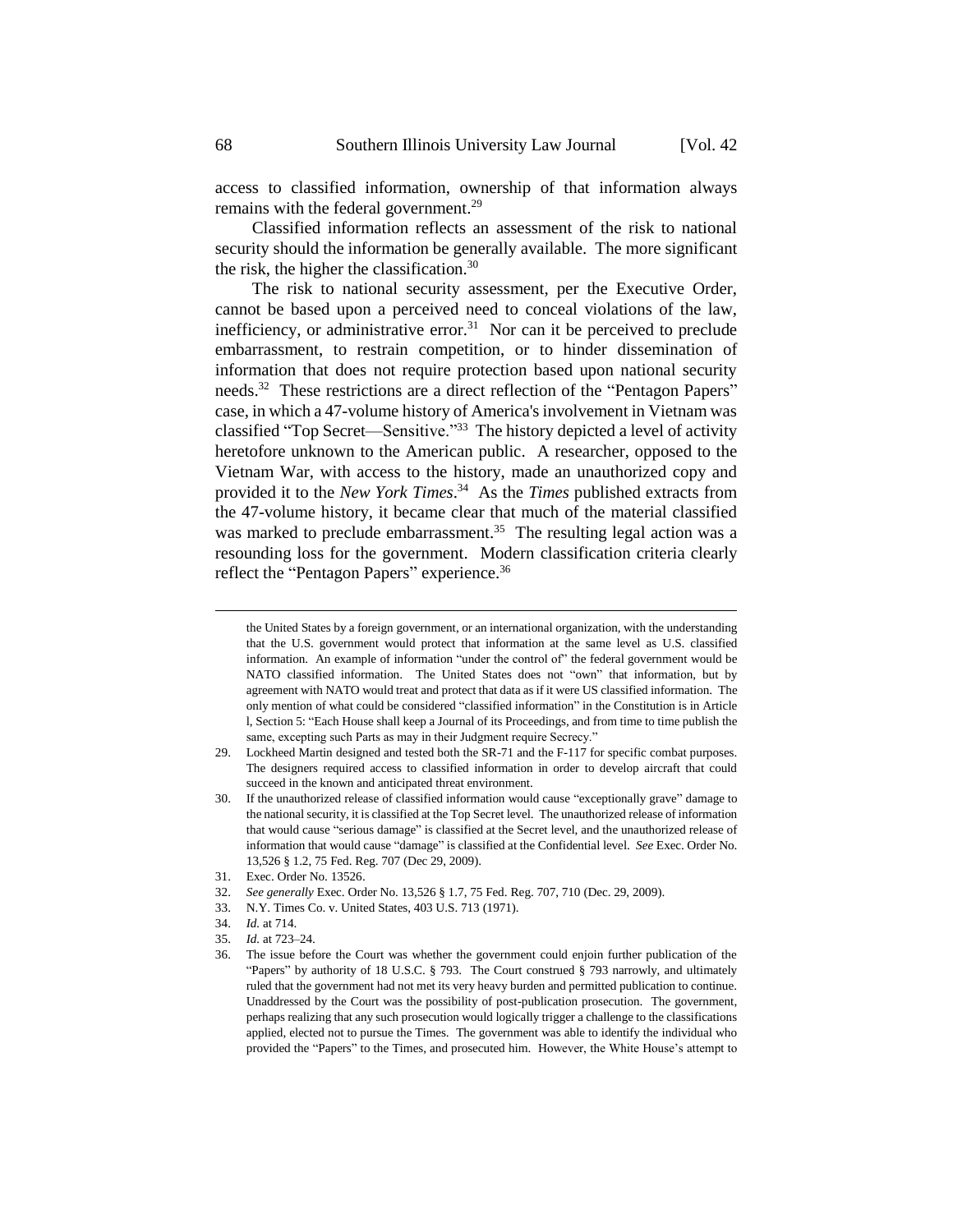access to classified information, ownership of that information always remains with the federal government.<sup>29</sup>

Classified information reflects an assessment of the risk to national security should the information be generally available. The more significant the risk, the higher the classification.<sup>30</sup>

The risk to national security assessment, per the Executive Order, cannot be based upon a perceived need to conceal violations of the law, inefficiency, or administrative error.<sup>31</sup> Nor can it be perceived to preclude embarrassment, to restrain competition, or to hinder dissemination of information that does not require protection based upon national security needs.<sup>32</sup> These restrictions are a direct reflection of the "Pentagon Papers" case, in which a 47-volume history of America's involvement in Vietnam was classified "Top Secret—Sensitive."<sup>33</sup> The history depicted a level of activity heretofore unknown to the American public. A researcher, opposed to the Vietnam War, with access to the history, made an unauthorized copy and provided it to the *New York Times*. <sup>34</sup> As the *Times* published extracts from the 47-volume history, it became clear that much of the material classified was marked to preclude embarrassment.<sup>35</sup> The resulting legal action was a resounding loss for the government. Modern classification criteria clearly reflect the "Pentagon Papers" experience.<sup>36</sup>

- 29. Lockheed Martin designed and tested both the SR-71 and the F-117 for specific combat purposes. The designers required access to classified information in order to develop aircraft that could succeed in the known and anticipated threat environment.
- 30. If the unauthorized release of classified information would cause "exceptionally grave" damage to the national security, it is classified at the Top Secret level. The unauthorized release of information that would cause "serious damage" is classified at the Secret level, and the unauthorized release of information that would cause "damage" is classified at the Confidential level. *See* Exec. Order No. 13,526 § 1.2, 75 Fed. Reg. 707 (Dec 29, 2009).
- 31. Exec. Order No. 13526.
- 32. *See generally* Exec. Order No. 13,526 § 1.7, 75 Fed. Reg. 707, 710 (Dec. 29, 2009).
- 33. N.Y. Times Co. v. United States, 403 U.S. 713 (1971).
- 34. *Id.* at 714.
- 35. *Id.* at 723–24.

the United States by a foreign government, or an international organization, with the understanding that the U.S. government would protect that information at the same level as U.S. classified information. An example of information "under the control of" the federal government would be NATO classified information. The United States does not "own" that information, but by agreement with NATO would treat and protect that data as if it were US classified information. The only mention of what could be considered "classified information" in the Constitution is in Article l, Section 5: "Each House shall keep a Journal of its Proceedings, and from time to time publish the same, excepting such Parts as may in their Judgment require Secrecy."

<sup>36.</sup> The issue before the Court was whether the government could enjoin further publication of the "Papers" by authority of 18 U.S.C. § 793. The Court construed § 793 narrowly, and ultimately ruled that the government had not met its very heavy burden and permitted publication to continue. Unaddressed by the Court was the possibility of post-publication prosecution. The government, perhaps realizing that any such prosecution would logically trigger a challenge to the classifications applied, elected not to pursue the Times. The government was able to identify the individual who provided the "Papers" to the Times, and prosecuted him. However, the White House's attempt to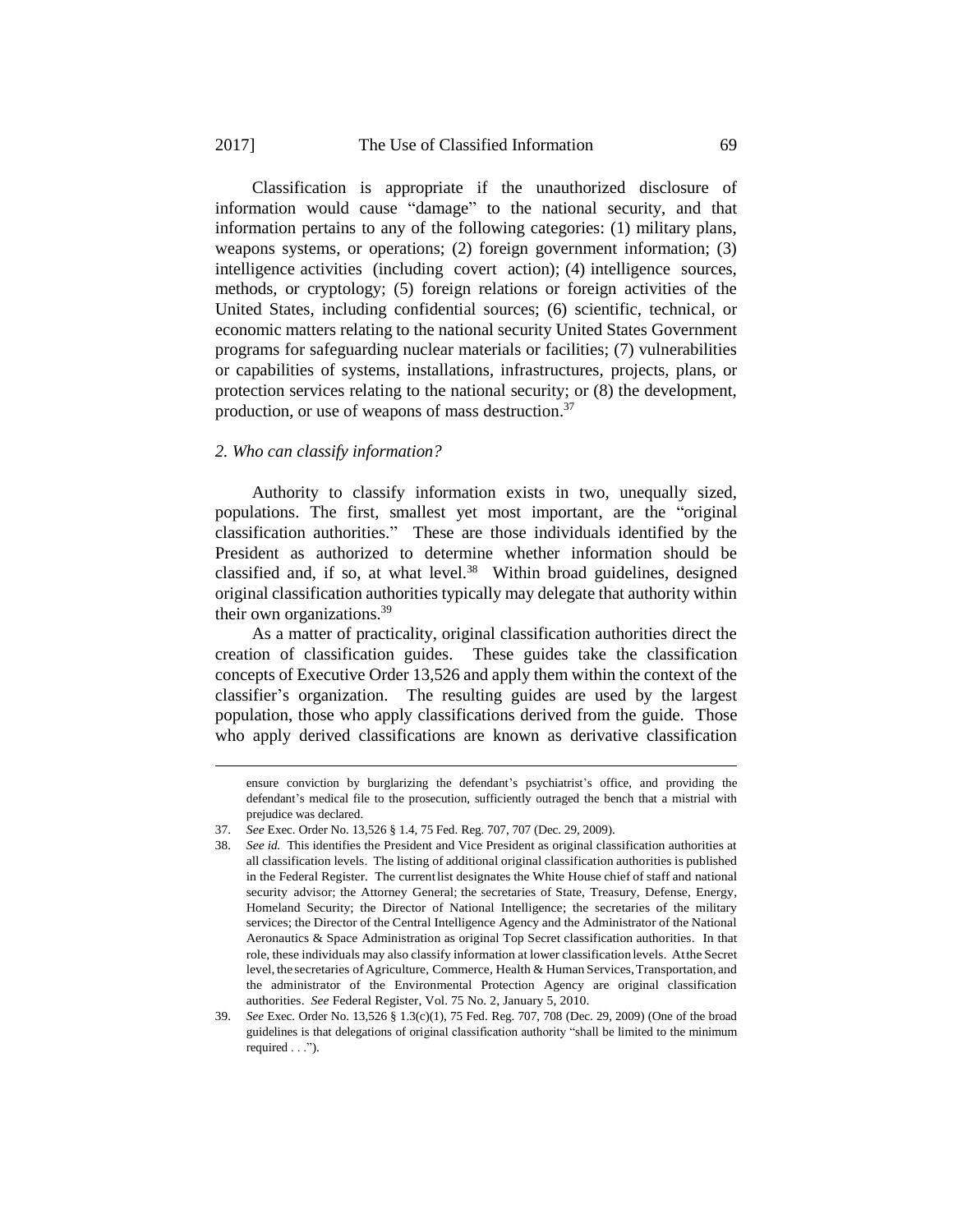Classification is appropriate if the unauthorized disclosure of information would cause "damage" to the national security, and that information pertains to any of the following categories: (1) military plans, weapons systems, or operations; (2) foreign government information; (3) intelligence activities (including covert action); (4) intelligence sources, methods, or cryptology; (5) foreign relations or foreign activities of the United States, including confidential sources; (6) scientific, technical, or economic matters relating to the national security United States Government programs for safeguarding nuclear materials or facilities; (7) vulnerabilities or capabilities of systems, installations, infrastructures, projects, plans, or protection services relating to the national security; or (8) the development, production, or use of weapons of mass destruction.<sup>37</sup>

#### *2. Who can classify information?*

Authority to classify information exists in two, unequally sized, populations. The first, smallest yet most important, are the "original classification authorities." These are those individuals identified by the President as authorized to determine whether information should be classified and, if so, at what level.<sup>38</sup> Within broad guidelines, designed original classification authorities typically may delegate that authority within their own organizations.<sup>39</sup>

As a matter of practicality, original classification authorities direct the creation of classification guides. These guides take the classification concepts of Executive Order 13,526 and apply them within the context of the classifier's organization. The resulting guides are used by the largest population, those who apply classifications derived from the guide. Those who apply derived classifications are known as derivative classification

ensure conviction by burglarizing the defendant's psychiatrist's office, and providing the defendant's medical file to the prosecution, sufficiently outraged the bench that a mistrial with prejudice was declared.

<sup>37.</sup> *See* Exec. Order No. 13,526 § 1.4, 75 Fed. Reg. 707, 707 (Dec. 29, 2009).

<sup>38.</sup> *See id.* This identifies the President and Vice President as original classification authorities at all classification levels. The listing of additional original classification authorities is published in the Federal Register. The currentlist designates the White House chief of staff and national security advisor; the Attorney General; the secretaries of State, Treasury, Defense, Energy, Homeland Security; the Director of National Intelligence; the secretaries of the military services; the Director of the Central Intelligence Agency and the Administrator of the National Aeronautics & Space Administration as original Top Secret classification authorities. In that role, these individuals may also classify information at lower classification levels. Atthe Secret level, the secretaries of Agriculture, Commerce, Health & Human Services, Transportation, and the administrator of the Environmental Protection Agency are original classification authorities. *See* Federal Register, Vol. 75 No. 2, January 5, 2010.

<sup>39.</sup> *See* Exec. Order No. 13,526 § 1.3(c)(1), 75 Fed. Reg. 707, 708 (Dec. 29, 2009) (One of the broad guidelines is that delegations of original classification authority "shall be limited to the minimum required . . .").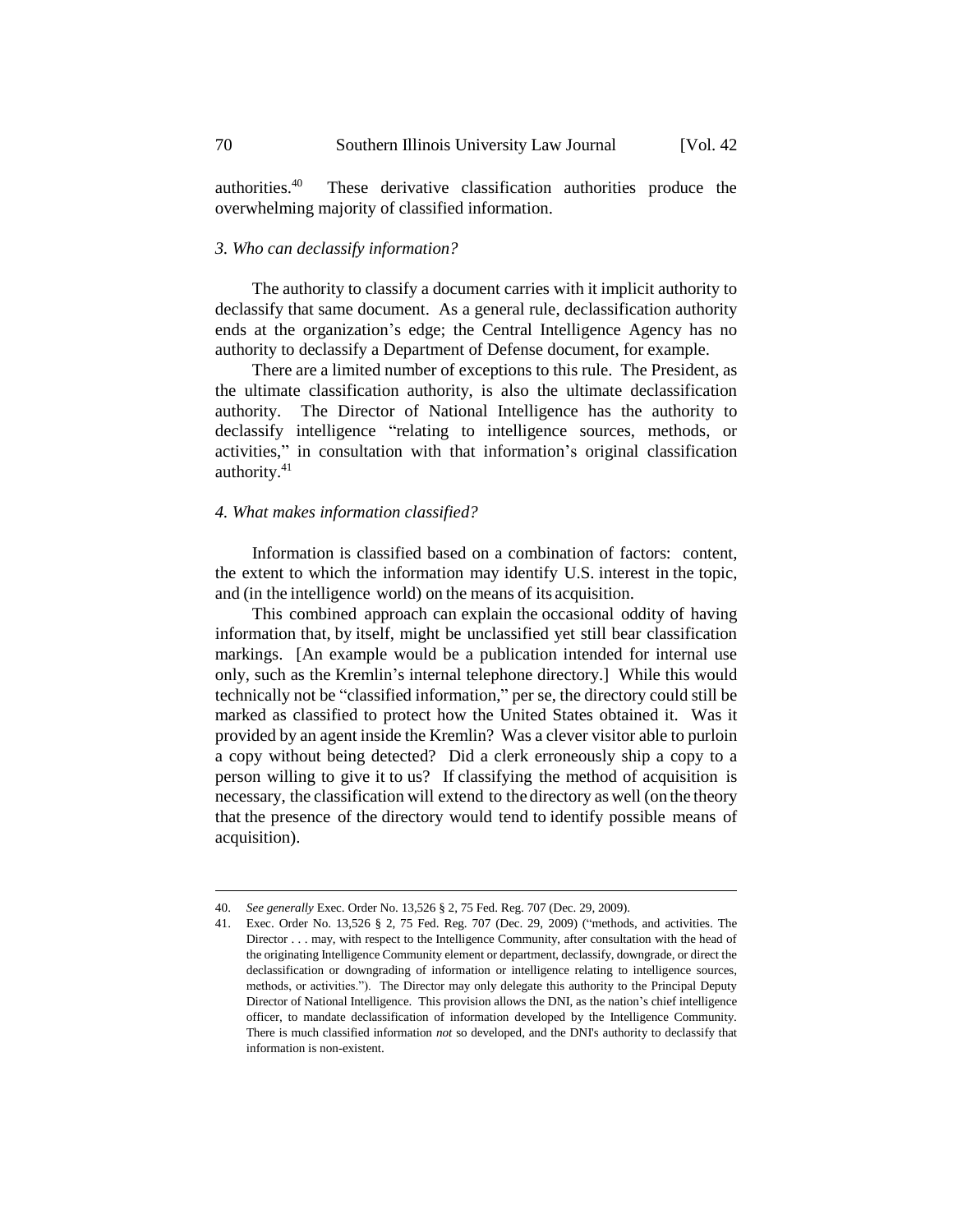authorities.<sup>40</sup> These derivative classification authorities produce the overwhelming majority of classified information.

# *3. Who can declassify information?*

The authority to classify a document carries with it implicit authority to declassify that same document. As a general rule, declassification authority ends at the organization's edge; the Central Intelligence Agency has no authority to declassify a Department of Defense document, for example.

There are a limited number of exceptions to this rule. The President, as the ultimate classification authority, is also the ultimate declassification authority. The Director of National Intelligence has the authority to declassify intelligence "relating to intelligence sources, methods, or activities," in consultation with that information's original classification authority.<sup>41</sup>

#### *4. What makes information classified?*

Information is classified based on a combination of factors: content, the extent to which the information may identify U.S. interest in the topic, and (in the intelligence world) on the means of its acquisition.

This combined approach can explain the occasional oddity of having information that, by itself, might be unclassified yet still bear classification markings. [An example would be a publication intended for internal use only, such as the Kremlin's internal telephone directory.] While this would technically not be "classified information," per se, the directory could still be marked as classified to protect how the United States obtained it. Was it provided by an agent inside the Kremlin? Was a clever visitor able to purloin a copy without being detected? Did a clerk erroneously ship a copy to a person willing to give it to us? If classifying the method of acquisition is necessary, the classification will extend to the directory as well (on the theory that the presence of the directory would tend to identify possible means of acquisition).

<sup>40.</sup> *See generally* Exec. Order No. 13,526 § 2, 75 Fed. Reg. 707 (Dec. 29, 2009).

<sup>41.</sup> Exec. Order No. 13,526 § 2, 75 Fed. Reg. 707 (Dec. 29, 2009) ("methods, and activities. The Director . . . may, with respect to the Intelligence Community, after consultation with the head of the originating Intelligence Community element or department, declassify, downgrade, or direct the declassification or downgrading of information or intelligence relating to intelligence sources, methods, or activities."). The Director may only delegate this authority to the Principal Deputy Director of National Intelligence. This provision allows the DNI, as the nation's chief intelligence officer, to mandate declassification of information developed by the Intelligence Community. There is much classified information *not* so developed, and the DNI's authority to declassify that information is non-existent.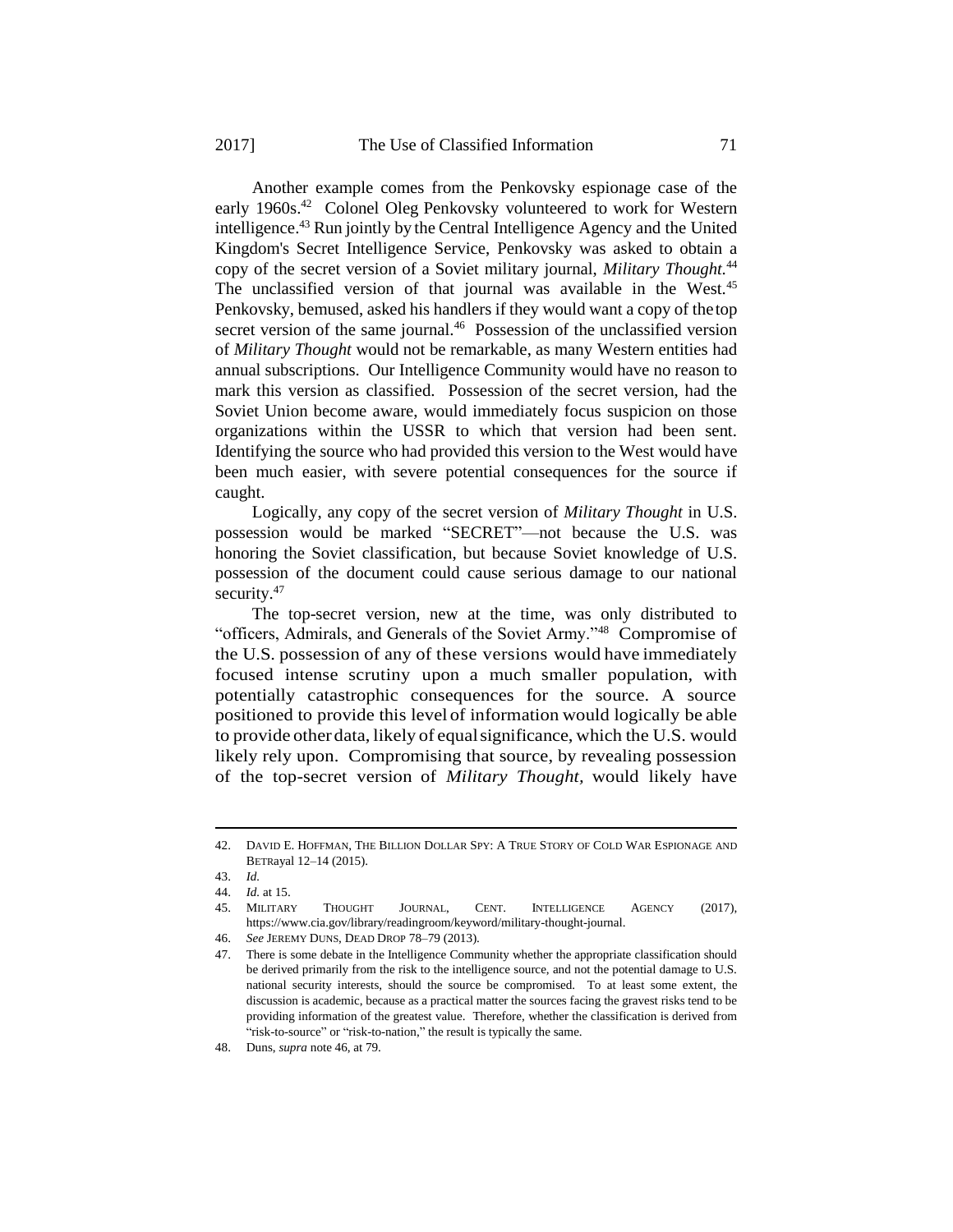Another example comes from the Penkovsky espionage case of the early 1960s.<sup>42</sup> Colonel Oleg Penkovsky volunteered to work for Western intelligence.<sup>43</sup> Run jointly by the Central Intelligence Agency and the United Kingdom's Secret Intelligence Service, Penkovsky was asked to obtain a copy of the secret version of a Soviet military journal, *Military Thought.*<sup>44</sup> The unclassified version of that journal was available in the West.<sup>45</sup> Penkovsky, bemused, asked his handlers if they would want a copy of thetop secret version of the same journal.<sup>46</sup> Possession of the unclassified version of *Military Thought* would not be remarkable, as many Western entities had annual subscriptions. Our Intelligence Community would have no reason to mark this version as classified. Possession of the secret version, had the Soviet Union become aware, would immediately focus suspicion on those organizations within the USSR to which that version had been sent. Identifying the source who had provided this version to the West would have been much easier, with severe potential consequences for the source if caught.

Logically, any copy of the secret version of *Military Thought* in U.S. possession would be marked "SECRET"—not because the U.S. was honoring the Soviet classification, but because Soviet knowledge of U.S. possession of the document could cause serious damage to our national security.<sup>47</sup>

The top-secret version, new at the time, was only distributed to "officers, Admirals, and Generals of the Soviet Army."<sup>48</sup> Compromise of the U.S. possession of any of these versions would have immediately focused intense scrutiny upon a much smaller population, with potentially catastrophic consequences for the source. A source positioned to provide this level of information would logically be able to provide otherdata, likely of equalsignificance, which the U.S. would likely rely upon. Compromising that source, by revealing possession of the top-secret version of *Military Thought,* would likely have

<sup>42.</sup> DAVID E. HOFFMAN, THE BILLION DOLLAR SPY: A TRUE STORY OF COLD WAR ESPIONAGE AND BETRayal 12–14 (2015).

<sup>43.</sup> *Id.*

<sup>44.</sup> *Id.* at 15.

<sup>45.</sup> MILITARY THOUGHT JOURNAL, CENT. INTELLIGENCE AGENCY (2017), https://www.cia.gov/library/readingroom/keyword/military-thought-journal.

<sup>46.</sup> *See* JEREMY DUNS, DEAD DROP 78–79 (2013).

<sup>47.</sup> There is some debate in the Intelligence Community whether the appropriate classification should be derived primarily from the risk to the intelligence source, and not the potential damage to U.S. national security interests, should the source be compromised. To at least some extent, the discussion is academic, because as a practical matter the sources facing the gravest risks tend to be providing information of the greatest value. Therefore, whether the classification is derived from "risk-to-source" or "risk-to-nation," the result is typically the same.

<sup>48.</sup> Duns, *supra* note 46, at 79.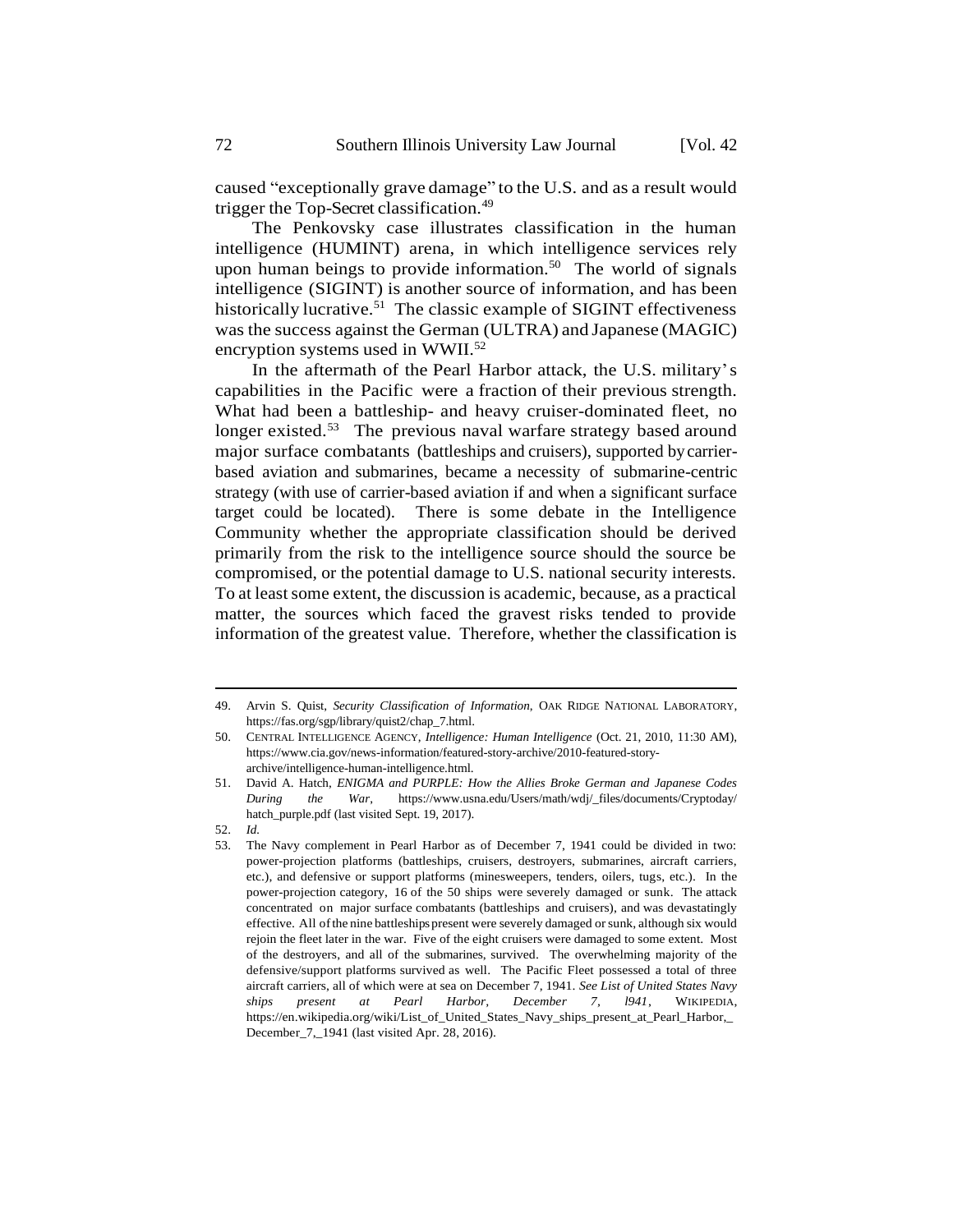caused "exceptionally grave damage" to the U.S. and as a result would trigger the Top-Secret classification.<sup>49</sup>

The Penkovsky case illustrates classification in the human intelligence (HUMINT) arena, in which intelligence services rely upon human beings to provide information.<sup>50</sup> The world of signals intelligence (SIGINT) is another source of information, and has been historically lucrative.<sup>51</sup> The classic example of SIGINT effectiveness was the success against the German (ULTRA) and Japanese (MAGIC) encryption systems used in WWII.<sup>52</sup>

In the aftermath of the Pearl Harbor attack, the U.S. military's capabilities in the Pacific were a fraction of their previous strength. What had been a battleship- and heavy cruiser-dominated fleet, no longer existed.<sup>53</sup> The previous naval warfare strategy based around major surface combatants (battleships and cruisers), supported bycarrierbased aviation and submarines, became a necessity of submarine-centric strategy (with use of carrier-based aviation if and when a significant surface target could be located). There is some debate in the Intelligence Community whether the appropriate classification should be derived primarily from the risk to the intelligence source should the source be compromised, or the potential damage to U.S. national security interests. To at least some extent, the discussion is academic, because, as a practical matter, the sources which faced the gravest risks tended to provide information of the greatest value. Therefore, whether the classification is

<sup>49.</sup> Arvin S. Quist, *Security Classification of Information*, OAK RIDGE NATIONAL LABORATORY, https://fas.org/sgp/library/quist2/chap\_7.html.

<sup>50.</sup> CENTRAL INTELLIGENCE AGENCY, *Intelligence: Human Intelligence* (Oct. 21, 2010, 11:30 AM), https://www.cia.gov/news-information/featured-story-archive/2010-featured-storyarchive/intelligence-human-intelligence.html.

<sup>51.</sup> David A. Hatch, *ENIGMA and PURPLE: How the Allies Broke German and Japanese Codes During the War*, https://www.usna.edu/Users/math/wdj/\_files/documents/Cryptoday/ hatch\_purple.pdf (last visited Sept. 19, 2017).

<sup>52.</sup> *Id.*

<sup>53.</sup> The Navy complement in Pearl Harbor as of December 7, 1941 could be divided in two: power-projection platforms (battleships, cruisers, destroyers, submarines, aircraft carriers, etc.), and defensive or support platforms (minesweepers, tenders, oilers, tugs, etc.). In the power-projection category, 16 of the 50 ships were severely damaged or sunk. The attack concentrated on major surface combatants (battleships and cruisers), and was devastatingly effective. All of the nine battleships present were severely damaged or sunk, although six would rejoin the fleet later in the war. Five of the eight cruisers were damaged to some extent. Most of the destroyers, and all of the submarines, survived. The overwhelming majority of the defensive/support platforms survived as well. The Pacific Fleet possessed a total of three aircraft carriers, all of which were at sea on December 7, 1941. *See List of United States Navy ships present at Pearl Harbor, December 7, l941*, WIKIPEDIA, https://en.wikipedia.org/wiki/List\_of\_United\_States\_Navy\_ships\_present\_at\_Pearl\_Harbor,\_ December\_7,\_1941 (last visited Apr. 28, 2016).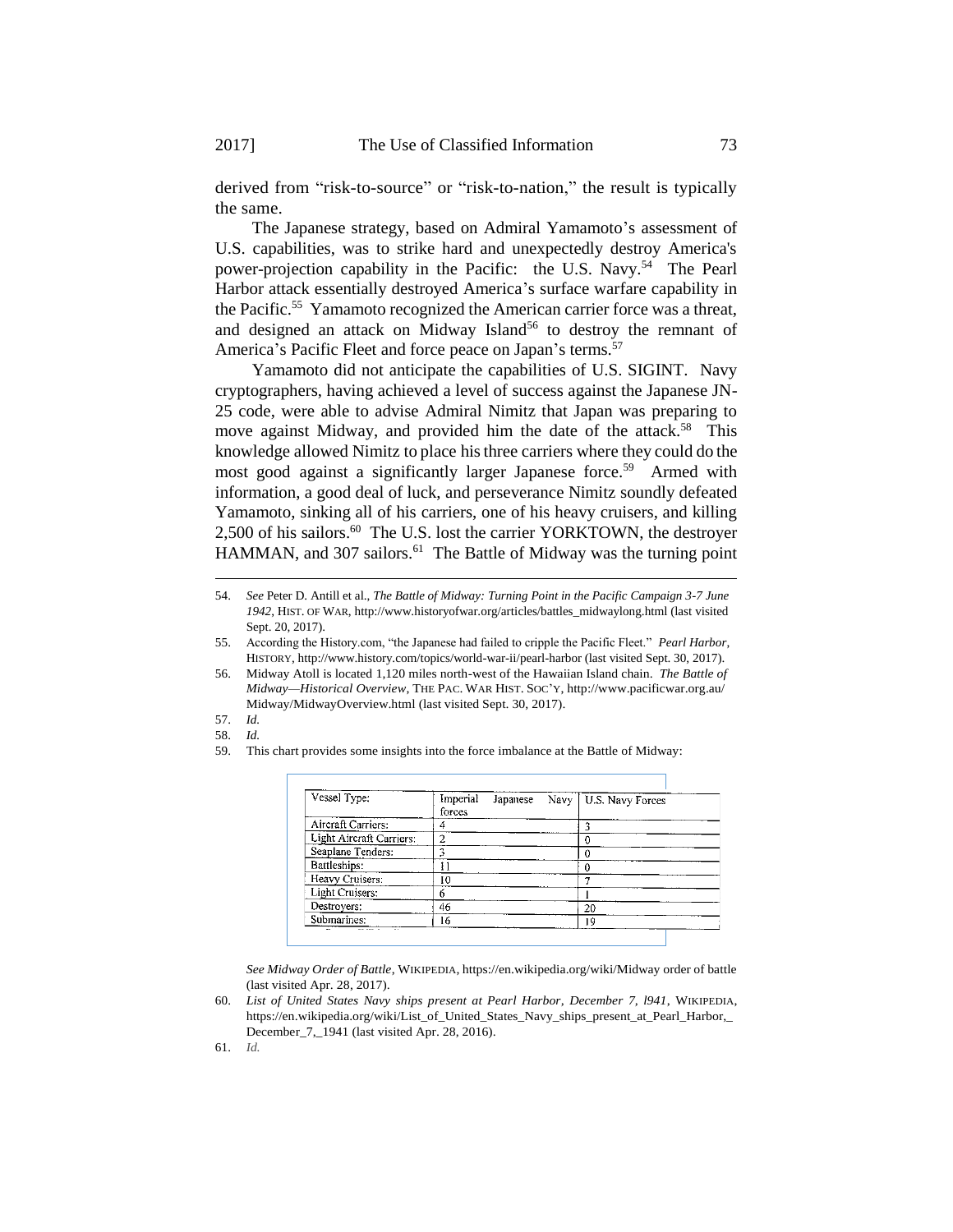derived from "risk-to-source" or "risk-to-nation," the result is typically the same.

The Japanese strategy, based on Admiral Yamamoto's assessment of U.S. capabilities, was to strike hard and unexpectedly destroy America's power-projection capability in the Pacific: the U.S. Navy.<sup>54</sup> The Pearl Harbor attack essentially destroyed America's surface warfare capability in the Pacific.<sup>55</sup> Yamamoto recognized the American carrier force was a threat, and designed an attack on Midway Island<sup>56</sup> to destroy the remnant of America's Pacific Fleet and force peace on Japan's terms.<sup>57</sup>

Yamamoto did not anticipate the capabilities of U.S. SIGINT. Navy cryptographers, having achieved a level of success against the Japanese JN-25 code, were able to advise Admiral Nimitz that Japan was preparing to move against Midway, and provided him the date of the attack.<sup>58</sup> This knowledge allowed Nimitz to place histhree carriers where they could do the most good against a significantly larger Japanese force.<sup>59</sup> Armed with information, a good deal of luck, and perseverance Nimitz soundly defeated Yamamoto, sinking all of his carriers, one of his heavy cruisers, and killing 2,500 of his sailors.<sup>60</sup> The U.S. lost the carrier YORKTOWN, the destroyer HAMMAN, and 307 sailors.<sup>61</sup> The Battle of Midway was the turning point

57. *Id.*

<u>.</u>

58. *Id.*

61. *Id.*

<sup>59.</sup> This chart provides some insights into the force imbalance at the Battle of Midway:

| Vessel Type:             | Imperial<br>forces | Japanese | Navy   U.S. Navy Forces |
|--------------------------|--------------------|----------|-------------------------|
| Aircraft Carriers:       | 4                  |          |                         |
| Light Aircraft Carriers: | っ                  |          |                         |
| Seaplane Tenders:        |                    |          |                         |
| Battleships:             |                    |          |                         |
| Heavy Cruisers:          | I0                 |          |                         |
| Light Cruisers:          | ń                  |          |                         |
| Destroyers:              | 46                 |          | 20                      |
| Submarines:              | 16                 |          | 19                      |

*See Midway Order of Battle*, WIKIPEDIA, https://en.wikipedia.org/wiki/Midway order of battle (last visited Apr. 28, 2017).

60. *List of United States Navy ships present at Pearl Harbor, December 7, l941*, WIKIPEDIA, https://en.wikipedia.org/wiki/List\_of\_United\_States\_Navy\_ships\_present\_at\_Pearl\_Harbor,\_ December\_7,\_1941 (last visited Apr. 28, 2016).

<sup>54.</sup> *See* Peter D. Antill et al., *The Battle of Midway: Turning Point in the Pacific Campaign 3-7 June 1942*, HIST. OF WAR, http://www.historyofwar.org/articles/battles\_midwaylong.html (last visited Sept. 20, 2017).

<sup>55.</sup> According the History.com, "the Japanese had failed to cripple the Pacific Fleet." *Pearl Harbor*, HISTORY, http://www.history.com/topics/world-war-ii/pearl-harbor (last visited Sept. 30, 2017).

<sup>56.</sup> Midway Atoll is located 1,120 miles north-west of the Hawaiian Island chain. *The Battle of Midway—Historical Overview*, THE PAC. WAR HIST. SOC'Y, http://www.pacificwar.org.au/ Midway/MidwayOverview.html (last visited Sept. 30, 2017).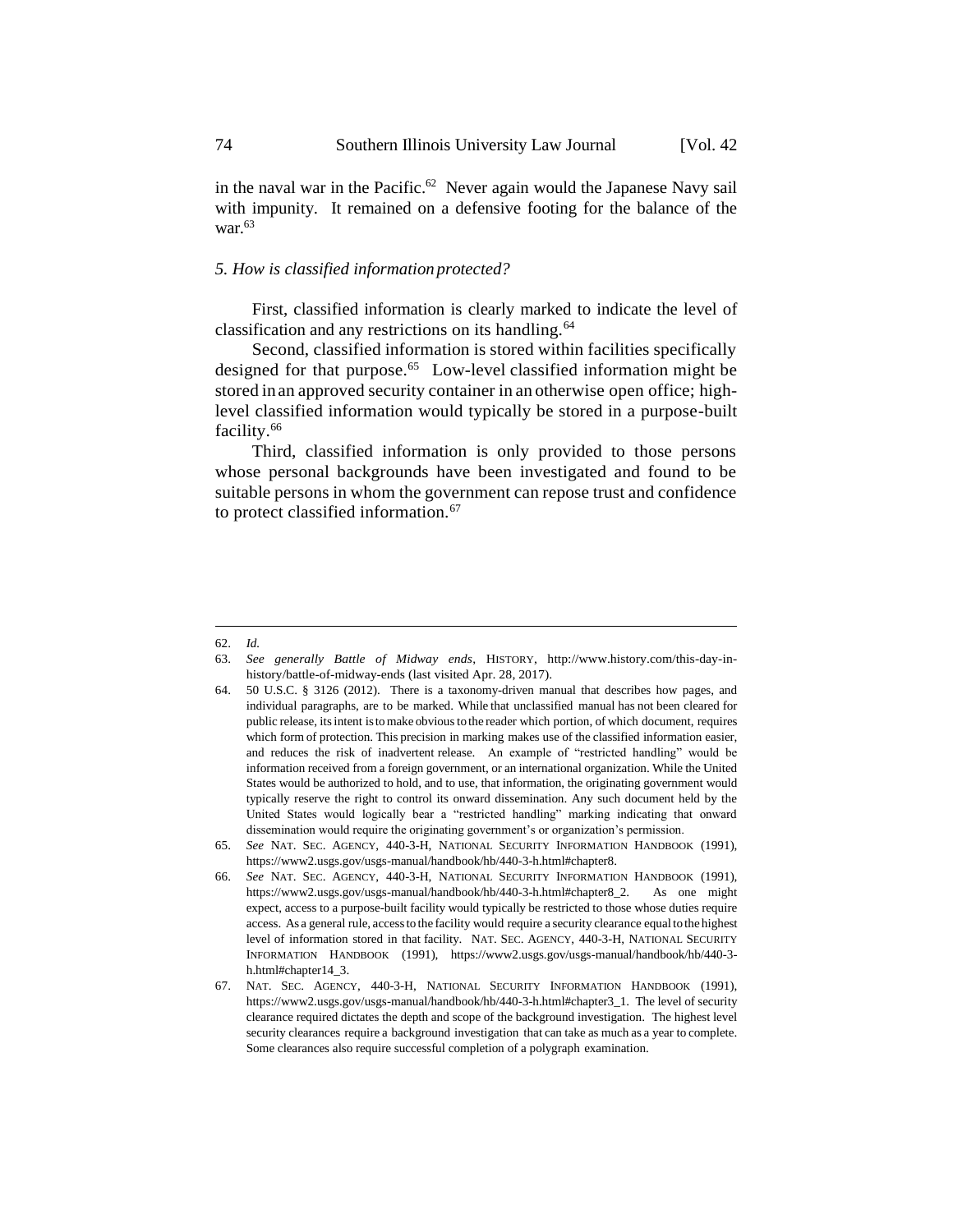in the naval war in the Pacific. <sup>62</sup> Never again would the Japanese Navy sail with impunity. It remained on a defensive footing for the balance of the war $^{63}$ 

#### *5. How is classified information protected?*

First, classified information is clearly marked to indicate the level of classification and any restrictions on its handling.<sup>64</sup>

Second, classified information is stored within facilities specifically designed for that purpose.<sup>65</sup> Low-level classified information might be stored inan approved security container in an otherwise open office; highlevel classified information would typically be stored in a purpose-built facility.<sup>66</sup>

Third, classified information is only provided to those persons whose personal backgrounds have been investigated and found to be suitable persons in whom the government can repose trust and confidence to protect classified information.<sup>67</sup>

<u>.</u>

<sup>62.</sup> *Id.*

<sup>63.</sup> *See generally Battle of Midway ends*, HISTORY, http://www.history.com/this-day-inhistory/battle-of-midway-ends (last visited Apr. 28, 2017).

<sup>64.</sup> 50 U.S.C. § 3126 (2012). There is a taxonomy-driven manual that describes how pages, and individual paragraphs, are to be marked. While that unclassified manual has not been cleared for public release, itsintent istomake obviousto the reader which portion, of which document, requires which form of protection. This precision in marking makes use of the classified information easier, and reduces the risk of inadvertent release. An example of "restricted handling" would be information received from a foreign government, or an international organization. While the United States would be authorized to hold, and to use, that information, the originating government would typically reserve the right to control its onward dissemination. Any such document held by the United States would logically bear a "restricted handling" marking indicating that onward dissemination would require the originating government's or organization's permission.

<sup>65.</sup> *See* NAT. SEC. AGENCY, 440-3-H, NATIONAL SECURITY INFORMATION HANDBOOK (1991), https://www2.usgs.gov/usgs-manual/handbook/hb/440-3-h.html#chapter8.

<sup>66.</sup> *See* NAT. SEC. AGENCY, 440-3-H, NATIONAL SECURITY INFORMATION HANDBOOK (1991), https://www2.usgs.gov/usgs-manual/handbook/hb/440-3-h.html#chapter8\_2. As one might expect, access to a purpose-built facility would typically be restricted to those whose duties require access. As a general rule, accessto the facility would require a security clearance equal to the highest level of information stored in that facility. NAT. SEC. AGENCY, 440-3-H, NATIONAL SECURITY INFORMATION HANDBOOK (1991), https://www2.usgs.gov/usgs-manual/handbook/hb/440-3 h.html#chapter14\_3.

<sup>67.</sup> NAT. SEC. AGENCY, 440-3-H, NATIONAL SECURITY INFORMATION HANDBOOK (1991), https://www2.usgs.gov/usgs-manual/handbook/hb/440-3-h.html#chapter3\_1. The level of security clearance required dictates the depth and scope of the background investigation. The highest level security clearances require a background investigation that can take as much as a year to complete. Some clearances also require successful completion of a polygraph examination.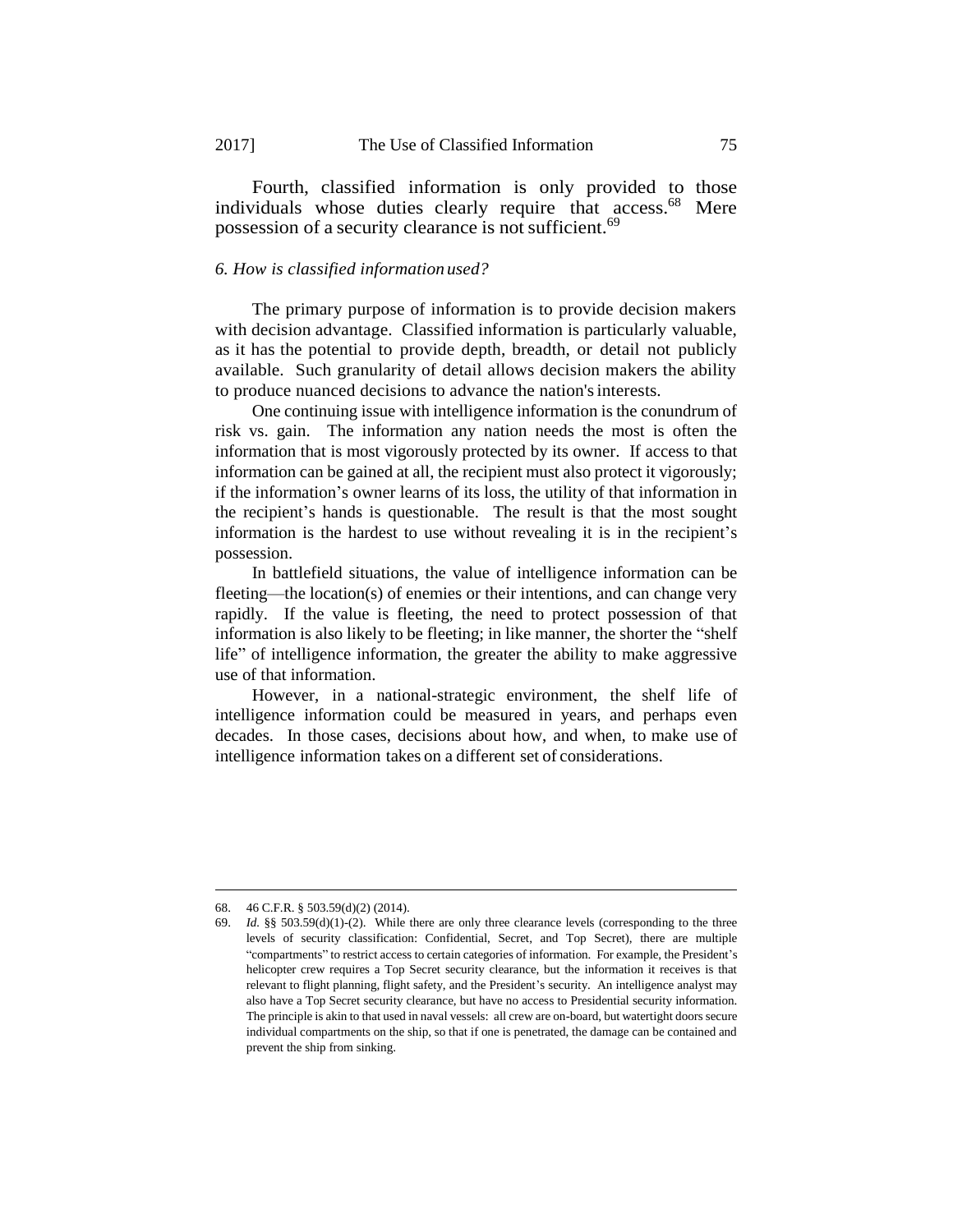Fourth, classified information is only provided to those individuals whose duties clearly require that access.<sup>68</sup> Mere possession of a security clearance is not sufficient.<sup>69</sup>

#### *6. How is classified information used?*

The primary purpose of information is to provide decision makers with decision advantage. Classified information is particularly valuable, as it has the potential to provide depth, breadth, or detail not publicly available. Such granularity of detail allows decision makers the ability to produce nuanced decisions to advance the nation'sinterests.

One continuing issue with intelligence information is the conundrum of risk vs. gain. The information any nation needs the most is often the information that is most vigorously protected by its owner. If access to that information can be gained at all, the recipient must also protect it vigorously; if the information's owner learns of its loss, the utility of that information in the recipient's hands is questionable. The result is that the most sought information is the hardest to use without revealing it is in the recipient's possession.

In battlefield situations, the value of intelligence information can be fleeting—the location(s) of enemies or their intentions, and can change very rapidly. If the value is fleeting, the need to protect possession of that information is also likely to be fleeting; in like manner, the shorter the "shelf life" of intelligence information, the greater the ability to make aggressive use of that information.

However, in a national-strategic environment, the shelf life of intelligence information could be measured in years, and perhaps even decades. In those cases, decisions about how, and when, to make use of intelligence information takes on a different set of considerations.

<sup>68.</sup> 46 C.F.R. § 503.59(d)(2) (2014).

<sup>69.</sup> *Id.* §§ 503.59(d)(1)-(2). While there are only three clearance levels (corresponding to the three levels of security classification: Confidential, Secret, and Top Secret), there are multiple "compartments" to restrict access to certain categories of information. For example, the President's helicopter crew requires a Top Secret security clearance, but the information it receives is that relevant to flight planning, flight safety, and the President's security. An intelligence analyst may also have a Top Secret security clearance, but have no access to Presidential security information. The principle is akin to that used in naval vessels: all crew are on-board, but watertight doors secure individual compartments on the ship, so that if one is penetrated, the damage can be contained and prevent the ship from sinking.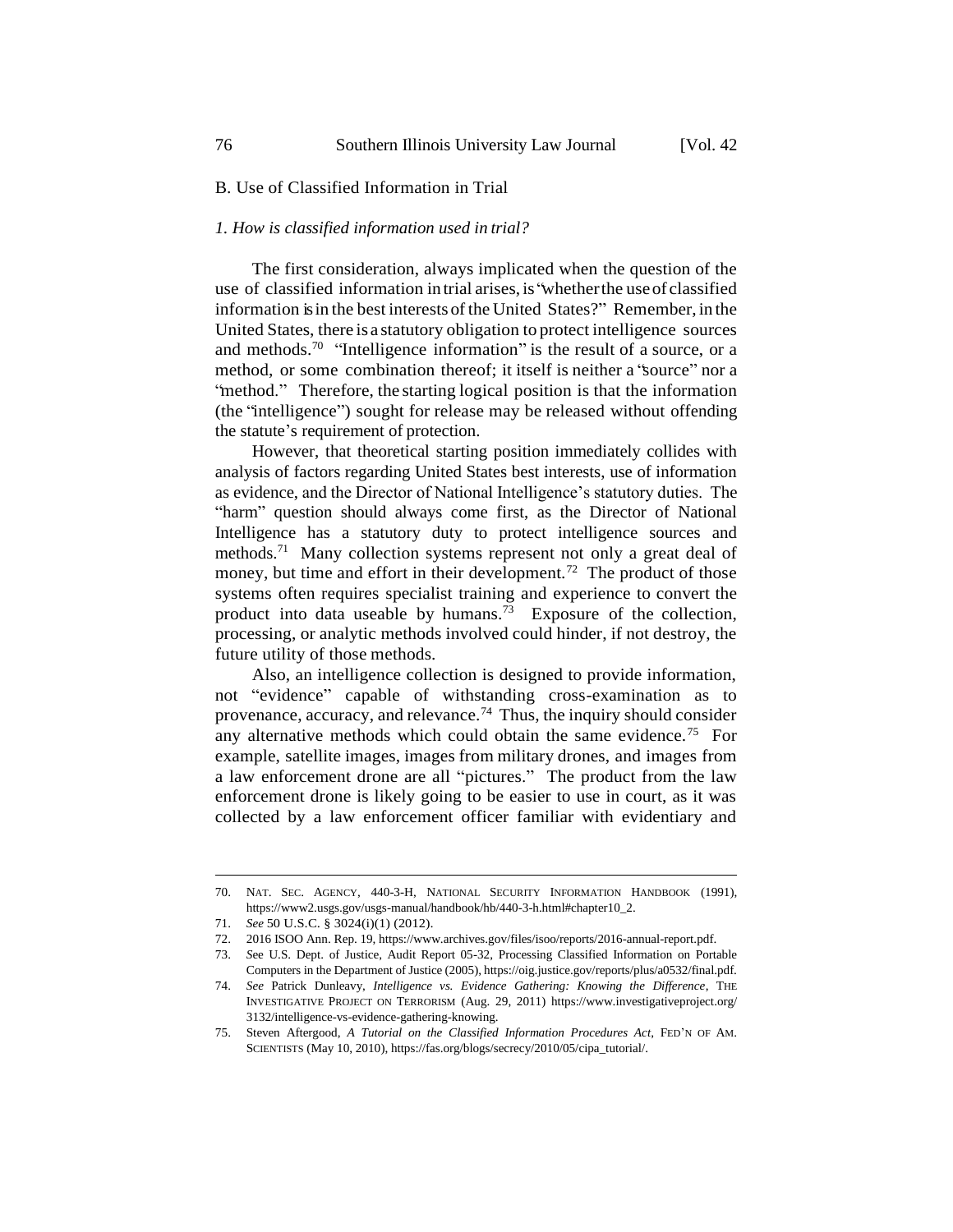# B. Use of Classified Information in Trial

#### *1. How is classified information used in trial?*

The first consideration, always implicated when the question of the use of classified information intrial arises, is "whetherthe useof classified information is in the best interests of the United States?" Remember, in the United States, there is a statutory obligation to protect intelligence sources and methods.<sup>70</sup> "Intelligence information" is the result of a source, or a method, or some combination thereof; it itself is neither a "source" nor a "method." Therefore, the starting logical position is that the information (the "intelligence") sought for release may be released without offending the statute's requirement of protection.

However, that theoretical starting position immediately collides with analysis of factors regarding United States best interests, use of information as evidence, and the Director of National Intelligence's statutory duties. The "harm" question should always come first, as the Director of National Intelligence has a statutory duty to protect intelligence sources and methods.<sup>71</sup> Many collection systems represent not only a great deal of money, but time and effort in their development.<sup>72</sup> The product of those systems often requires specialist training and experience to convert the product into data useable by humans.<sup>73</sup> Exposure of the collection, processing, or analytic methods involved could hinder, if not destroy, the future utility of those methods.

Also, an intelligence collection is designed to provide information, not "evidence" capable of withstanding cross-examination as to provenance, accuracy, and relevance.<sup>74</sup> Thus, the inquiry should consider any alternative methods which could obtain the same evidence.<sup>75</sup> For example, satellite images, images from military drones, and images from a law enforcement drone are all "pictures." The product from the law enforcement drone is likely going to be easier to use in court, as it was collected by a law enforcement officer familiar with evidentiary and

<sup>70.</sup> NAT. SEC. AGENCY, 440-3-H, NATIONAL SECURITY INFORMATION HANDBOOK (1991), https://www2.usgs.gov/usgs-manual/handbook/hb/440-3-h.html#chapter10\_2.

<sup>71.</sup> *See* 50 U.S.C. § 3024(i)(1) (2012).

<sup>72.</sup> 2016 ISOO Ann. Rep. 19, https://www.archives.gov/files/isoo/reports/2016-annual-report.pdf.

<sup>73.</sup> *S*ee U.S. Dept. of Justice, Audit Report 05-32, Processing Classified Information on Portable Computers in the Department of Justice (2005), https://oig.justice.gov/reports/plus/a0532/final.pdf.

<sup>74.</sup> *See* Patrick Dunleavy, *Intelligence vs. Evidence Gathering: Knowing the Difference*, THE INVESTIGATIVE PROJECT ON TERRORISM (Aug. 29, 2011) https://www.investigativeproject.org/ 3132/intelligence-vs-evidence-gathering-knowing.

<sup>75.</sup> Steven Aftergood, *A Tutorial on the Classified Information Procedures Act*, FED'N OF AM. SCIENTISTS (May 10, 2010), https://fas.org/blogs/secrecy/2010/05/cipa\_tutorial/.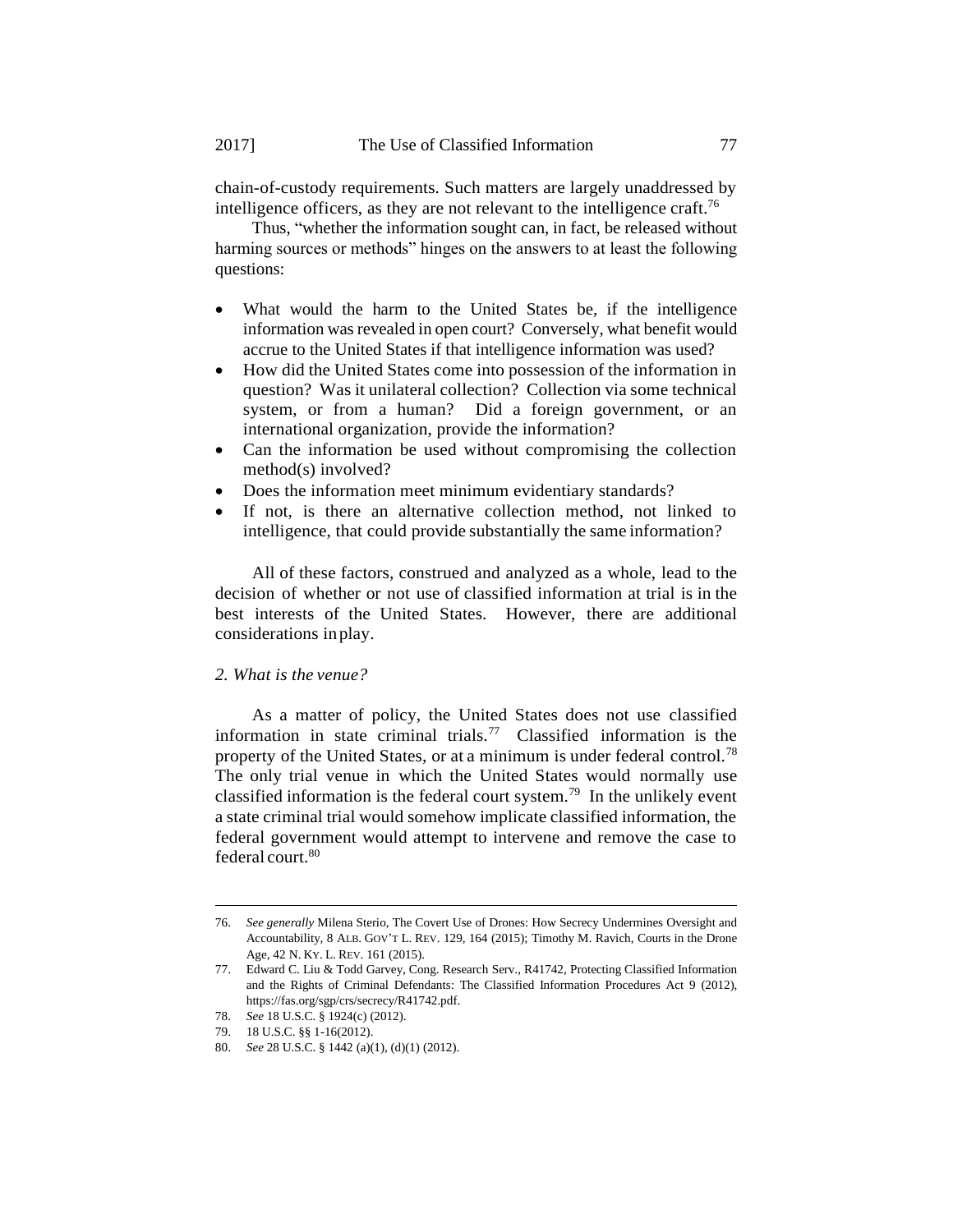chain-of-custody requirements. Such matters are largely unaddressed by intelligence officers, as they are not relevant to the intelligence craft.<sup>76</sup>

Thus, "whether the information sought can, in fact, be released without harming sources or methods" hinges on the answers to at least the following questions:

- What would the harm to the United States be, if the intelligence information was revealed in open court? Conversely, what benefit would accrue to the United States if that intelligence information was used?
- How did the United States come into possession of the information in question? Was it unilateral collection? Collection via some technical system, or from a human? Did a foreign government, or an international organization, provide the information?
- Can the information be used without compromising the collection method(s) involved?
- Does the information meet minimum evidentiary standards?
- If not, is there an alternative collection method, not linked to intelligence, that could provide substantially the same information?

All of these factors, construed and analyzed as a whole, lead to the decision of whether or not use of classified information at trial is in the best interests of the United States. However, there are additional considerations inplay.

# *2. What is the venue?*

As a matter of policy, the United States does not use classified information in state criminal trials.<sup>77</sup> Classified information is the property of the United States, or at a minimum is under federal control.<sup>78</sup> The only trial venue in which the United States would normally use classified information is the federal court system.<sup>79</sup> In the unlikely event a state criminal trial would somehow implicate classified information, the federal government would attempt to intervene and remove the case to federal court.<sup>80</sup>

<sup>76.</sup> *See generally* Milena Sterio, The Covert Use of Drones: How Secrecy Undermines Oversight and Accountability, 8 ALB. GOV'T L. REV. 129, 164 (2015); Timothy M. Ravich, Courts in the Drone Age, 42 N. KY. L. REV. 161 (2015).

<sup>77.</sup> Edward C. Liu & Todd Garvey, Cong. Research Serv., R41742, Protecting Classified Information and the Rights of Criminal Defendants: The Classified Information Procedures Act 9 (2012), https://fas.org/sgp/crs/secrecy/R41742.pdf.

<sup>78.</sup> *See* 18 U.S.C. § 1924(c) (2012).

<sup>79.</sup> 18 U.S.C. §§ 1-16(2012).

<sup>80.</sup> *See* 28 U.S.C. § 1442 (a)(1), (d)(1) (2012).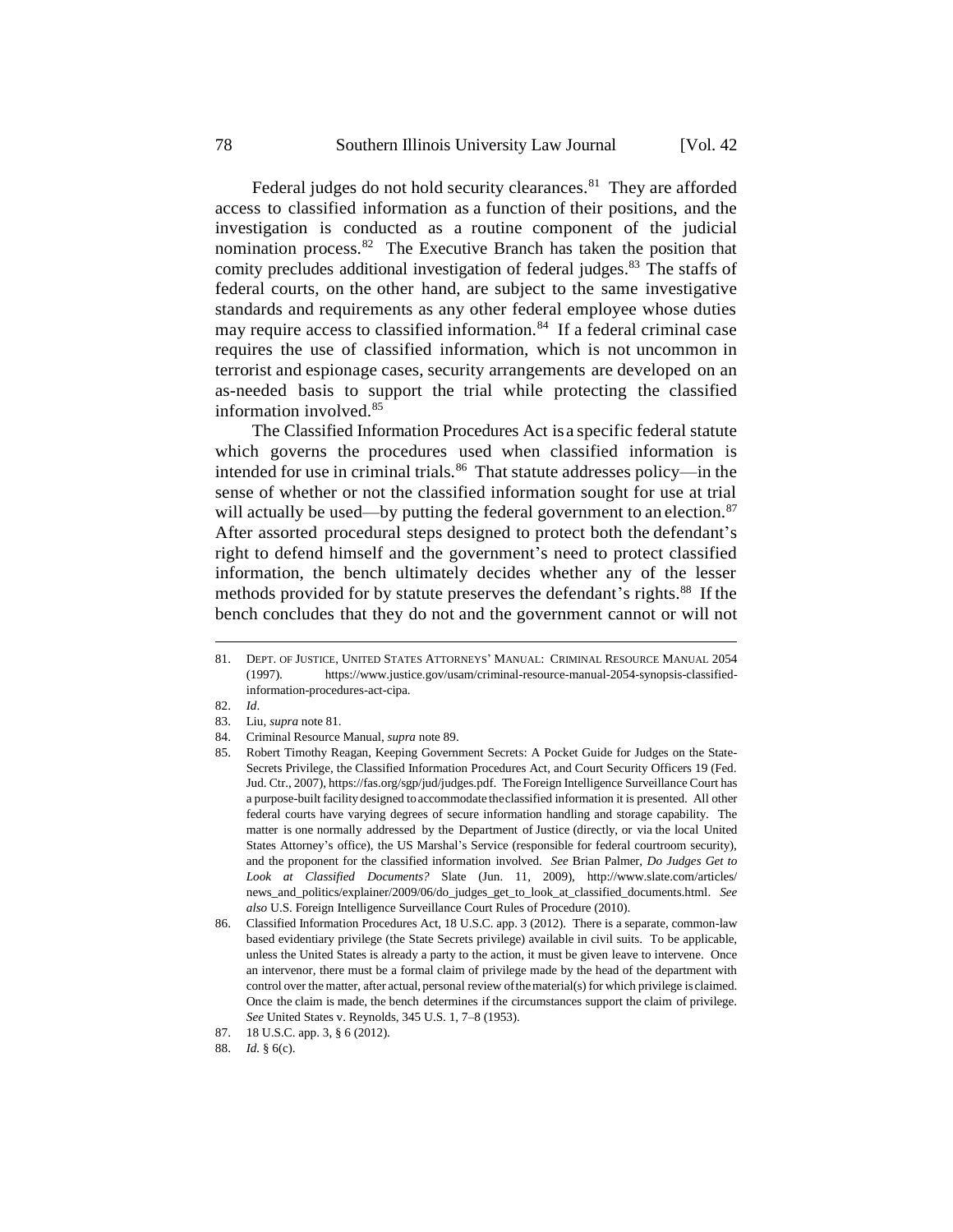Federal judges do not hold security clearances.<sup>81</sup> They are afforded access to classified information as a function of their positions, and the investigation is conducted as a routine component of the judicial nomination process.<sup>82</sup> The Executive Branch has taken the position that comity precludes additional investigation of federal judges. <sup>83</sup> The staffs of federal courts, on the other hand, are subject to the same investigative standards and requirements as any other federal employee whose duties may require access to classified information.<sup>84</sup> If a federal criminal case requires the use of classified information, which is not uncommon in terrorist and espionage cases, security arrangements are developed on an as-needed basis to support the trial while protecting the classified information involved.<sup>85</sup>

The Classified Information Procedures Act is a specific federal statute which governs the procedures used when classified information is intended for use in criminal trials.<sup>86</sup> That statute addresses policy—in the sense of whether or not the classified information sought for use at trial will actually be used—by putting the federal government to an election. $87$ After assorted procedural steps designed to protect both the defendant's right to defend himself and the government's need to protect classified information, the bench ultimately decides whether any of the lesser methods provided for by statute preserves the defendant's rights.<sup>88</sup> If the bench concludes that they do not and the government cannot or will not

<sup>81.</sup> DEPT. OF JUSTICE, UNITED STATES ATTORNEYS' MANUAL: CRIMINAL RESOURCE MANUAL 2054 (1997). https://www.justice.gov/usam/criminal-resource-manual-2054-synopsis-classifiedinformation-procedures-act-cipa.

<sup>82.</sup> *Id*.

<sup>83.</sup> Liu, *supra* note 81.

<sup>84.</sup> Criminal Resource Manual, *supra* note 89.

<sup>85.</sup> Robert Timothy Reagan, Keeping Government Secrets: A Pocket Guide for Judges on the State-Secrets Privilege, the Classified Information Procedures Act, and Court Security Officers 19 (Fed. Jud. Ctr., 2007), https://fas.org/sgp/jud/judges.pdf. The Foreign Intelligence Surveillance Court has a purpose-built facilitydesigned toaccommodate theclassified information it is presented. All other federal courts have varying degrees of secure information handling and storage capability. The matter is one normally addressed by the Department of Justice (directly, or via the local United States Attorney's office), the US Marshal's Service (responsible for federal courtroom security), and the proponent for the classified information involved. *See* Brian Palmer, *Do Judges Get to Look at Classified Documents?* Slate (Jun. 11, 2009), http://www.slate.com/articles/ news\_and\_politics/explainer/2009/06/do\_judges\_get\_to\_look\_at\_classified\_documents.html. *See also* U.S. Foreign Intelligence Surveillance Court Rules of Procedure (2010).

<sup>86.</sup> Classified Information Procedures Act, 18 U.S.C. app. 3 (2012). There is a separate, common-law based evidentiary privilege (the State Secrets privilege) available in civil suits. To be applicable, unless the United States is already a party to the action, it must be given leave to intervene. Once an intervenor, there must be a formal claim of privilege made by the head of the department with control over the matter, after actual, personal review ofthematerial(s) for which privilege is claimed. Once the claim is made, the bench determines if the circumstances support the claim of privilege. *See* United States v. Reynolds, 345 U.S. 1, 7–8 (1953).

<sup>87.</sup> 18 U.S.C. app. 3, § 6 (2012).

<sup>88.</sup> *Id.* § 6(c).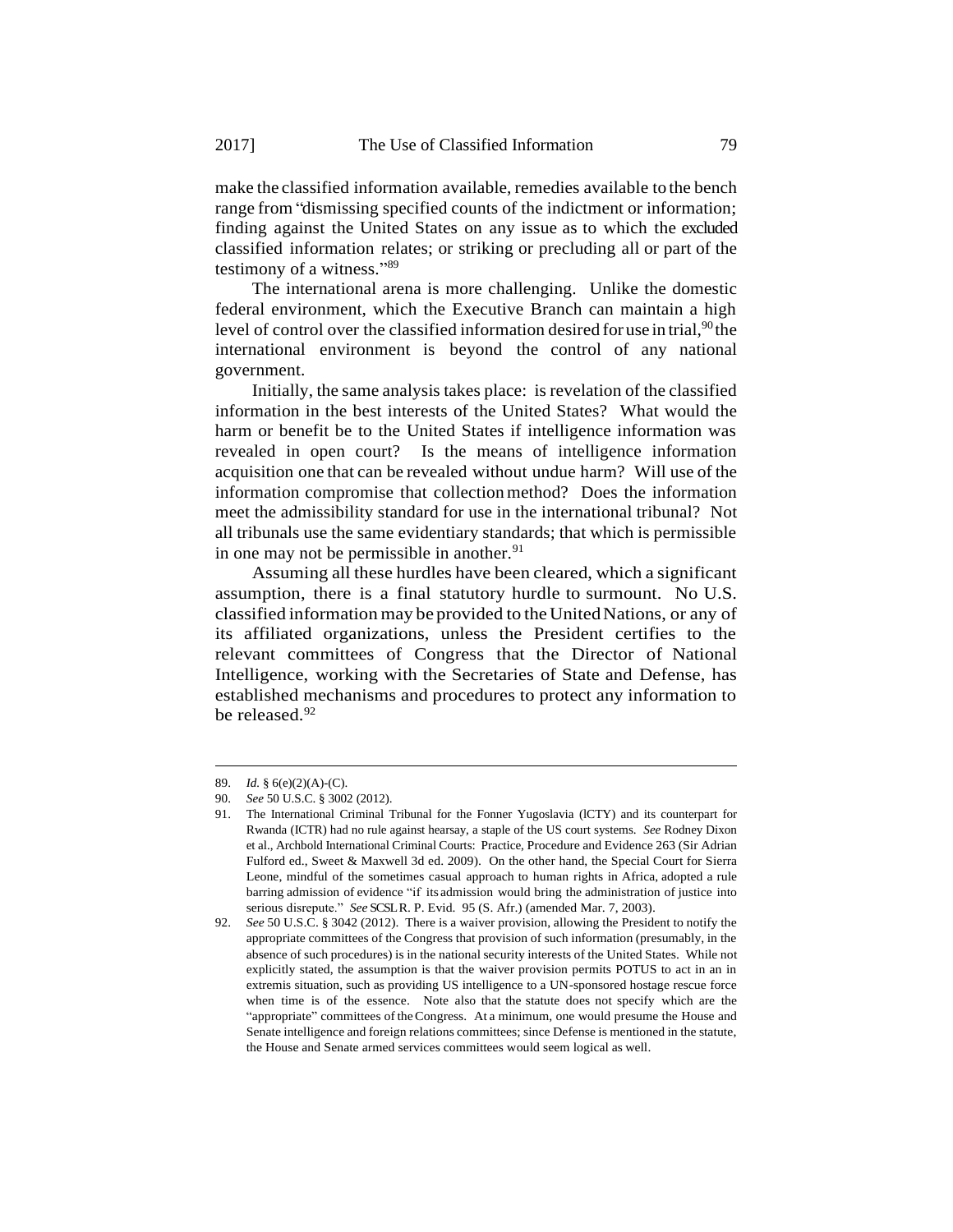make the classified information available, remedies available to the bench range from "dismissing specified counts of the indictment or information; finding against the United States on any issue as to which the excluded classified information relates; or striking or precluding all or part of the testimony of a witness." 89

The international arena is more challenging. Unlike the domestic federal environment, which the Executive Branch can maintain a high level of control over the classified information desired for use in trial,<sup>90</sup> the international environment is beyond the control of any national government.

Initially, the same analysis takes place: is revelation of the classified information in the best interests of the United States? What would the harm or benefit be to the United States if intelligence information was revealed in open court? Is the means of intelligence information acquisition one that can be revealed without undue harm? Will use of the information compromise that collectionmethod? Does the information meet the admissibility standard for use in the international tribunal? Not all tribunals use the same evidentiary standards; that which is permissible in one may not be permissible in another. $91$ 

Assuming all these hurdles have been cleared, which a significant assumption, there is a final statutory hurdle to surmount. No U.S. classified information may be provided to theUnitedNations, or any of its affiliated organizations, unless the President certifies to the relevant committees of Congress that the Director of National Intelligence, working with the Secretaries of State and Defense, has established mechanisms and procedures to protect any information to be released.<sup>92</sup>

<sup>89.</sup> *Id.* § 6(e)(2)(A)-(C).

<sup>90.</sup> *See* 50 U.S.C. § 3002 (2012).

<sup>91.</sup> The International Criminal Tribunal for the Fonner Yugoslavia (lCTY) and its counterpart for Rwanda (ICTR) had no rule against hearsay, a staple of the US court systems. *See* Rodney Dixon et al., Archbold International Criminal Courts: Practice, Procedure and Evidence 263 (Sir Adrian Fulford ed., Sweet & Maxwell 3d ed. 2009). On the other hand, the Special Court for Sierra Leone, mindful of the sometimes casual approach to human rights in Africa, adopted a rule barring admission of evidence "if its admission would bring the administration of justice into serious disrepute." *See* SCSLR. P. Evid. 95 (S. Afr.) (amended Mar. 7, 2003).

<sup>92.</sup> *See* 50 U.S.C. § 3042 (2012). There is a waiver provision, allowing the President to notify the appropriate committees of the Congress that provision of such information (presumably, in the absence of such procedures) is in the national security interests of the United States. While not explicitly stated, the assumption is that the waiver provision permits POTUS to act in an in extremis situation, such as providing US intelligence to a UN-sponsored hostage rescue force when time is of the essence. Note also that the statute does not specify which are the "appropriate" committees of theCongress. At a minimum, one would presume the House and Senate intelligence and foreign relations committees; since Defense is mentioned in the statute, the House and Senate armed services committees would seem logical as well.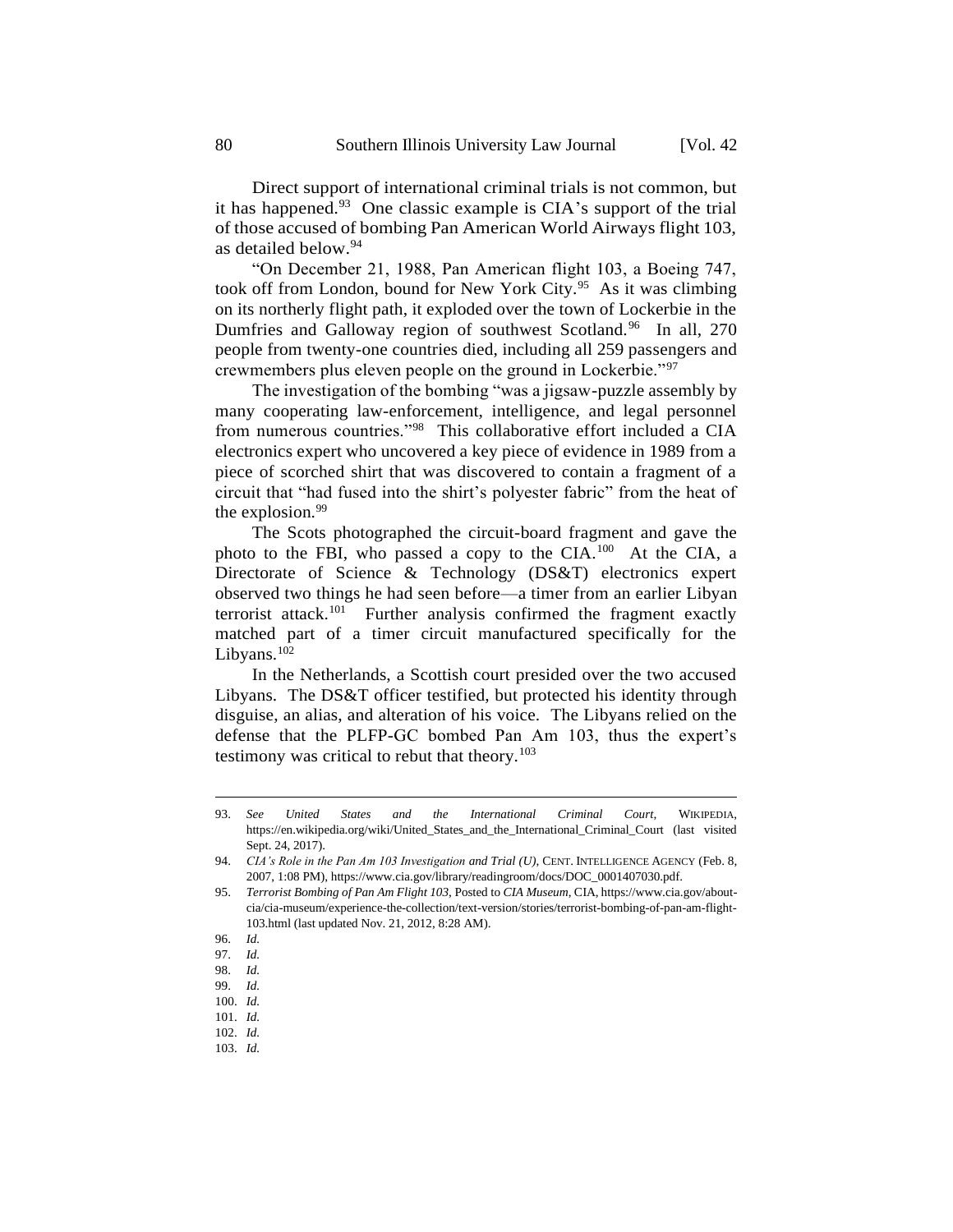Direct support of international criminal trials is not common, but it has happened.<sup>93</sup> One classic example is CIA's support of the trial of those accused of bombing Pan American World Airways flight 103, as detailed below.<sup>94</sup>

"On December 21, 1988, Pan American flight 103, a Boeing 747, took off from London, bound for New York City.<sup>95</sup> As it was climbing on its northerly flight path, it exploded over the town of Lockerbie in the Dumfries and Galloway region of southwest Scotland.<sup>96</sup> In all, 270 people from twenty-one countries died, including all 259 passengers and crewmembers plus eleven people on the ground in Lockerbie."<sup>97</sup>

The investigation of the bombing "was a jigsaw-puzzle assembly by many cooperating law-enforcement, intelligence, and legal personnel from numerous countries."<sup>98</sup> This collaborative effort included a CIA electronics expert who uncovered a key piece of evidence in 1989 from a piece of scorched shirt that was discovered to contain a fragment of a circuit that "had fused into the shirt's polyester fabric" from the heat of the explosion.<sup>99</sup>

The Scots photographed the circuit-board fragment and gave the photo to the FBI, who passed a copy to the CIA.<sup>100</sup> At the CIA, a Directorate of Science & Technology (DS&T) electronics expert observed two things he had seen before—a timer from an earlier Libyan terrorist attack.<sup>101</sup> Further analysis confirmed the fragment exactly matched part of a timer circuit manufactured specifically for the Libyans.<sup>102</sup>

In the Netherlands, a Scottish court presided over the two accused Libyans. The DS&T officer testified, but protected his identity through disguise, an alias, and alteration of his voice. The Libyans relied on the defense that the PLFP-GC bombed Pan Am 103, thus the expert's testimony was critical to rebut that theory. $103$ 

<sup>93.</sup> *See United States and the International Criminal Court*, WIKIPEDIA, https://en.wikipedia.org/wiki/United\_States\_and\_the\_International\_Criminal\_Court (last visited Sept. 24, 2017).

<sup>94.</sup> *CIA's Role in the Pan Am 103 Investigation and Trial (U)*, CENT. INTELLIGENCE AGENCY (Feb. 8, 2007, 1:08 PM), https://www.cia.gov/library/readingroom/docs/DOC\_0001407030.pdf.

<sup>95.</sup> *Terrorist Bombing of Pan Am Flight 103*, Posted to *CIA Museum*, CIA, https://www.cia.gov/aboutcia/cia-museum/experience-the-collection/text-version/stories/terrorist-bombing-of-pan-am-flight-103.html (last updated Nov. 21, 2012, 8:28 AM).

<sup>96.</sup> *Id.*

<sup>97.</sup> *Id.*

<sup>98.</sup> *Id.*

<sup>99.</sup> *Id.*

<sup>100.</sup> *Id.* 101. *Id.*

<sup>102.</sup> *Id.*

<sup>103.</sup> *Id.*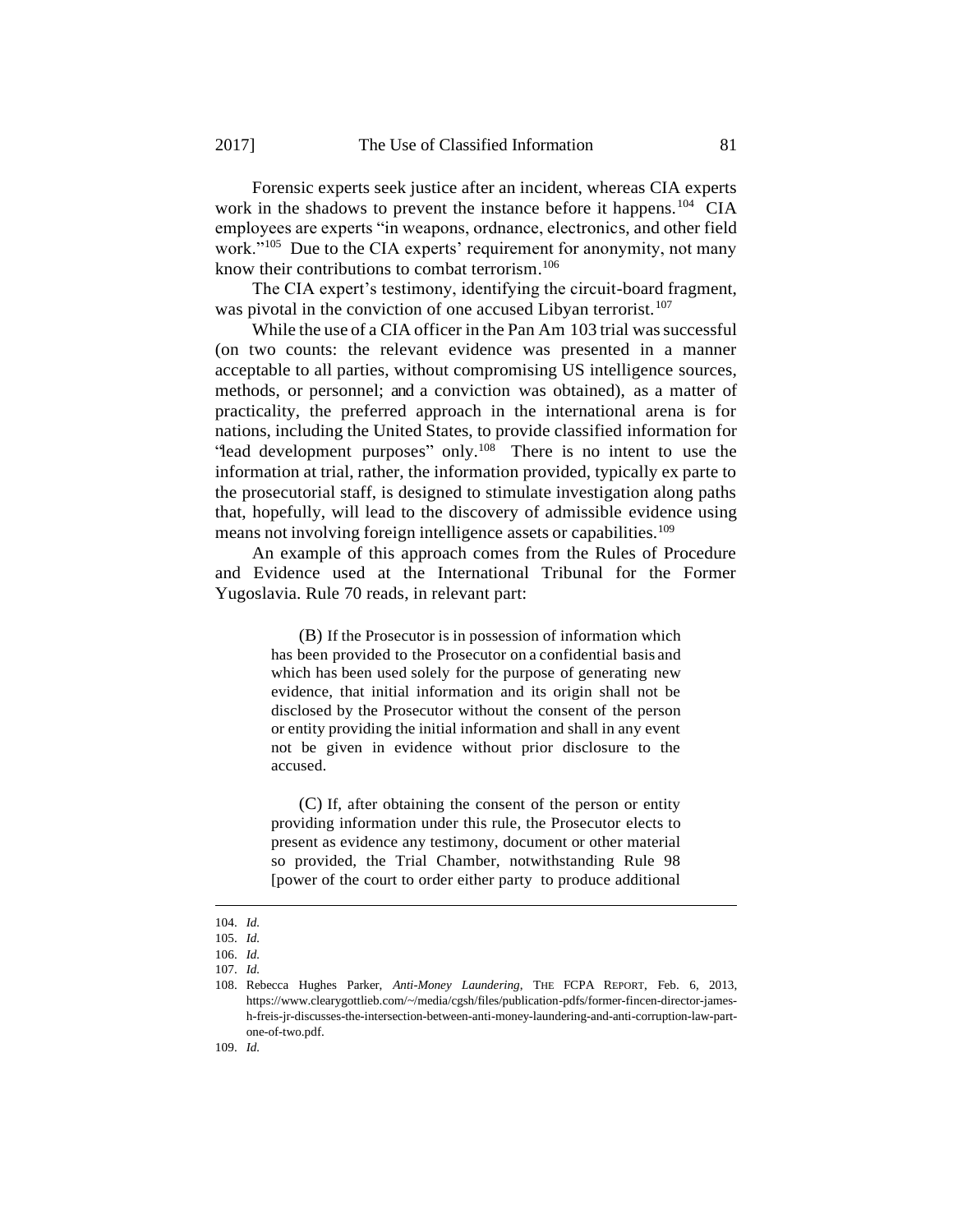Forensic experts seek justice after an incident, whereas CIA experts work in the shadows to prevent the instance before it happens.<sup>104</sup> CIA employees are experts "in weapons, ordnance, electronics, and other field work."<sup>105</sup> Due to the CIA experts' requirement for anonymity, not many know their contributions to combat terrorism. 106

The CIA expert's testimony, identifying the circuit-board fragment, was pivotal in the conviction of one accused Libyan terrorist.<sup>107</sup>

While the use of a CIA officer in the Pan Am 103 trial was successful (on two counts: the relevant evidence was presented in a manner acceptable to all parties, without compromising US intelligence sources, methods, or personnel; and a conviction was obtained), as a matter of practicality, the preferred approach in the international arena is for nations, including the United States, to provide classified information for "lead development purposes" only.<sup>108</sup> There is no intent to use the information at trial, rather, the information provided, typically ex parte to the prosecutorial staff, is designed to stimulate investigation along paths that, hopefully, will lead to the discovery of admissible evidence using means not involving foreign intelligence assets or capabilities.<sup>109</sup>

An example of this approach comes from the Rules of Procedure and Evidence used at the International Tribunal for the Former Yugoslavia. Rule 70 reads, in relevant part:

> (B) If the Prosecutor is in possession of information which has been provided to the Prosecutor on a confidential basis and which has been used solely for the purpose of generating new evidence, that initial information and its origin shall not be disclosed by the Prosecutor without the consent of the person or entity providing the initial information and shall in any event not be given in evidence without prior disclosure to the accused.

> (C) If, after obtaining the consent of the person or entity providing information under this rule, the Prosecutor elects to present as evidence any testimony, document or other material so provided, the Trial Chamber, notwithstanding Rule 98 [power of the court to order either party to produce additional

<sup>104.</sup> *Id.*

<sup>105.</sup> *Id.*

<sup>106.</sup> *Id.*

<sup>107.</sup> *Id.*

<sup>108.</sup> Rebecca Hughes Parker, *Anti-Money Laundering*, THE FCPA REPORT, Feb. 6, 2013, https://www.clearygottlieb.com/~/media/cgsh/files/publication-pdfs/former-fincen-director-jamesh-freis-jr-discusses-the-intersection-between-anti-money-laundering-and-anti-corruption-law-partone-of-two.pdf.

<sup>109.</sup> *Id.*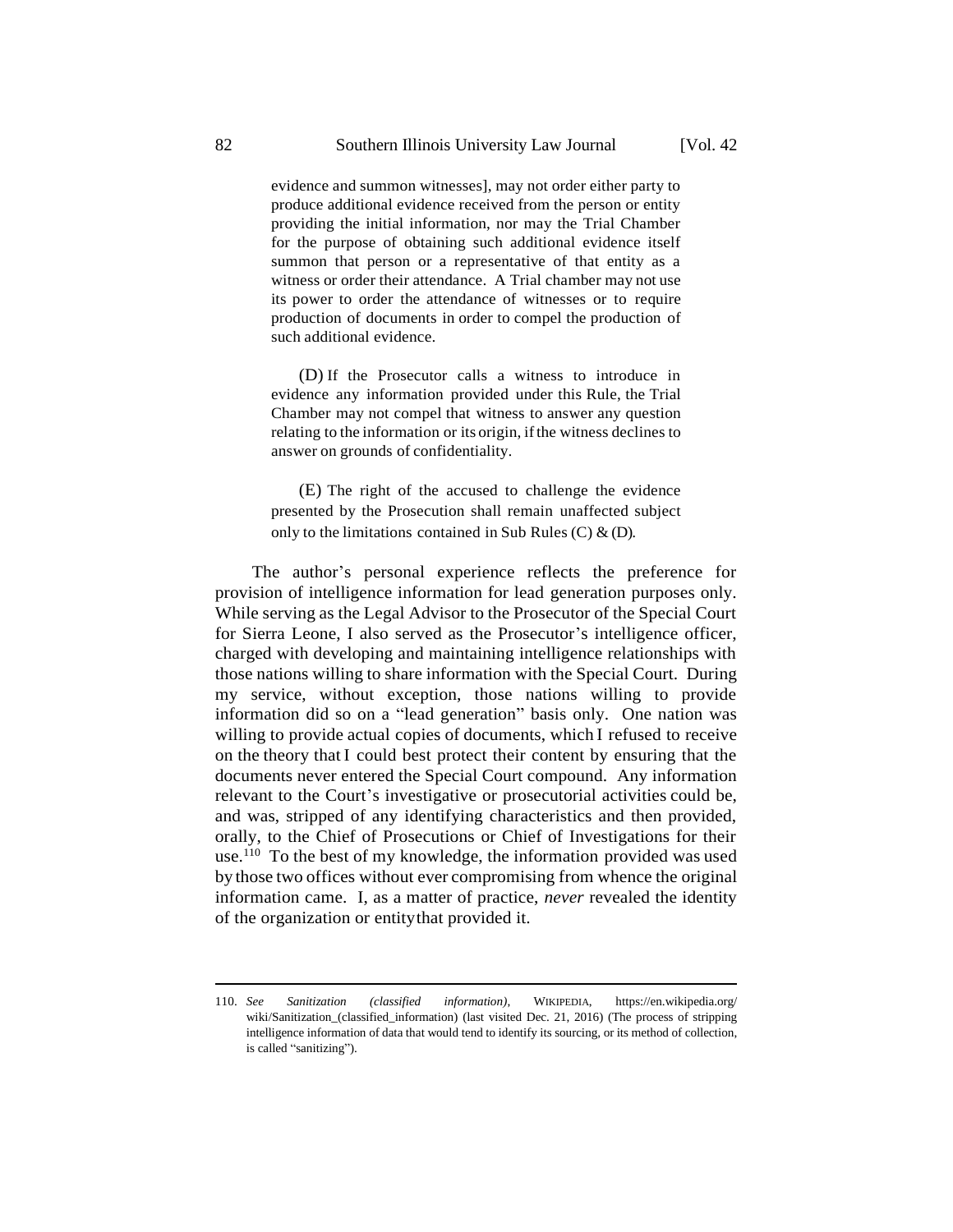evidence and summon witnesses], may not order either party to produce additional evidence received from the person or entity providing the initial information, nor may the Trial Chamber for the purpose of obtaining such additional evidence itself summon that person or a representative of that entity as a witness or order their attendance. A Trial chamber may not use its power to order the attendance of witnesses or to require production of documents in order to compel the production of such additional evidence.

(D) If the Prosecutor calls a witness to introduce in evidence any information provided under this Rule, the Trial Chamber may not compel that witness to answer any question relating to the information or its origin, ifthe witness declines to answer on grounds of confidentiality.

(E) The right of the accused to challenge the evidence presented by the Prosecution shall remain unaffected subject only to the limitations contained in Sub Rules (C)  $\&$  (D).

The author's personal experience reflects the preference for provision of intelligence information for lead generation purposes only. While serving as the Legal Advisor to the Prosecutor of the Special Court for Sierra Leone, I also served as the Prosecutor's intelligence officer, charged with developing and maintaining intelligence relationships with those nations willing to share information with the Special Court. During my service, without exception, those nations willing to provide information did so on a "lead generation" basis only. One nation was willing to provide actual copies of documents, which I refused to receive on the theory that I could best protect their content by ensuring that the documents never entered the Special Court compound. Any information relevant to the Court's investigative or prosecutorial activities could be, and was, stripped of any identifying characteristics and then provided, orally, to the Chief of Prosecutions or Chief of Investigations for their use.<sup>110</sup> To the best of my knowledge, the information provided was used by those two offices without ever compromising from whence the original information came. I, as a matter of practice, *never* revealed the identity of the organization or entitythat provided it.

<sup>110.</sup> *See Sanitization (classified information)*, WIKIPEDIA, https://en.wikipedia.org/ wiki/Sanitization\_(classified\_information) (last visited Dec. 21, 2016) (The process of stripping intelligence information of data that would tend to identify its sourcing, or its method of collection, is called "sanitizing").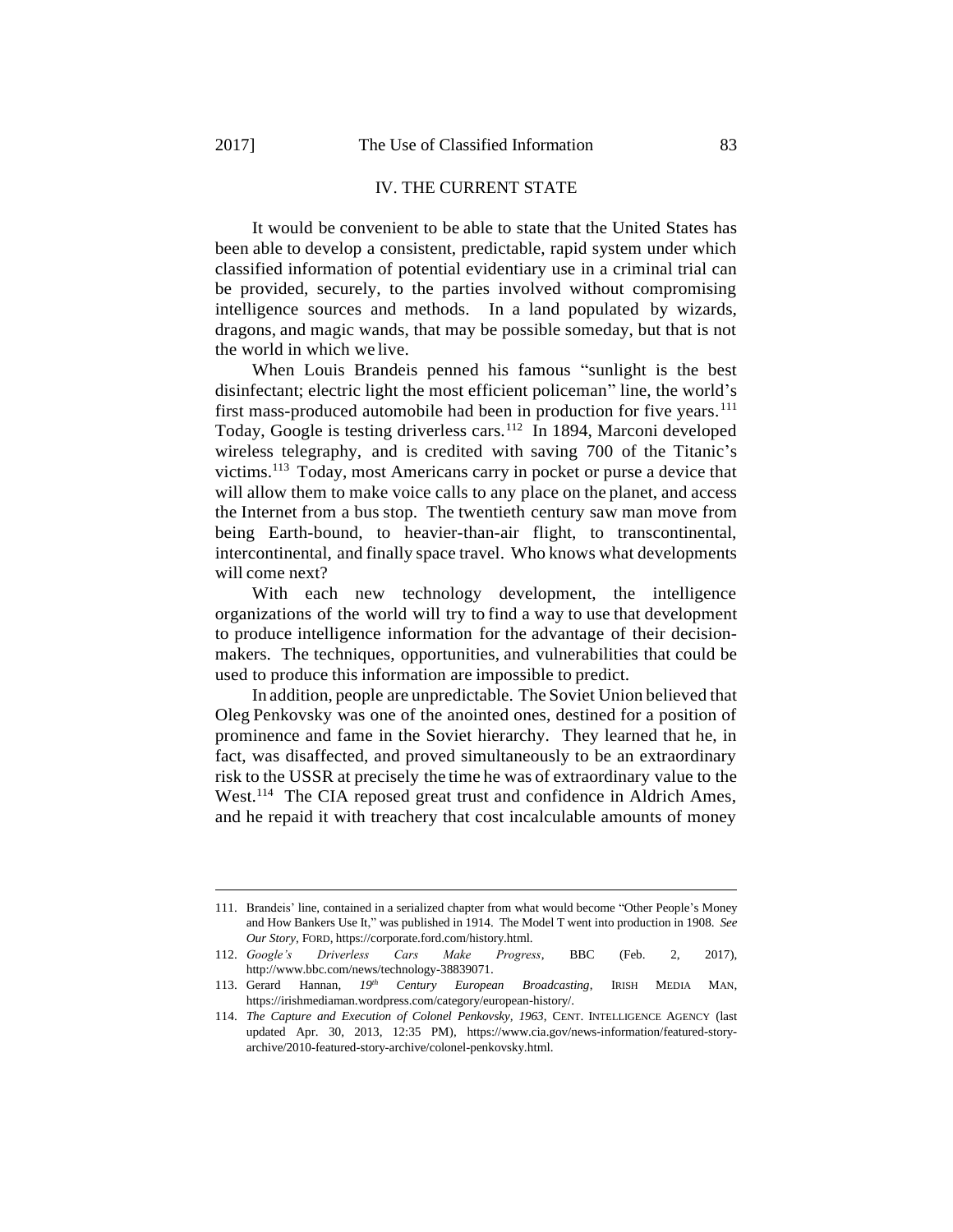1

# IV. THE CURRENT STATE

It would be convenient to be able to state that the United States has been able to develop a consistent, predictable, rapid system under which classified information of potential evidentiary use in a criminal trial can be provided, securely, to the parties involved without compromising intelligence sources and methods. In a land populated by wizards, dragons, and magic wands, that may be possible someday, but that is not the world in which we live.

When Louis Brandeis penned his famous "sunlight is the best disinfectant; electric light the most efficient policeman" line, the world's first mass-produced automobile had been in production for five years.<sup>111</sup> Today, Google is testing driverless cars.<sup>112</sup> In 1894, Marconi developed wireless telegraphy, and is credited with saving 700 of the Titanic's victims.<sup>113</sup> Today, most Americans carry in pocket or purse a device that will allow them to make voice calls to any place on the planet, and access the Internet from a bus stop. The twentieth century saw man move from being Earth-bound, to heavier-than-air flight, to transcontinental, intercontinental, and finally space travel. Who knows what developments will come next?

With each new technology development, the intelligence organizations of the world will try to find a way to use that development to produce intelligence information for the advantage of their decisionmakers. The techniques, opportunities, and vulnerabilities that could be used to produce this information are impossible to predict.

In addition, people are unpredictable. The Soviet Union believed that Oleg Penkovsky was one of the anointed ones, destined for a position of prominence and fame in the Soviet hierarchy. They learned that he, in fact, was disaffected, and proved simultaneously to be an extraordinary risk to the USSR at precisely the time he was of extraordinary value to the West.<sup>114</sup> The CIA reposed great trust and confidence in Aldrich Ames, and he repaid it with treachery that cost incalculable amounts of money

<sup>111.</sup> Brandeis' line, contained in a serialized chapter from what would become "Other People's Money and How Bankers Use It," was published in 1914. The Model T went into production in 1908. *See Our Story*, FORD, https://corporate.ford.com/history.html.

<sup>112.</sup> *Google's Driverless Cars Make Progress*, BBC (Feb. 2, 2017), http://www.bbc.com/news/technology-38839071.

<sup>113.</sup> Gerard Hannan, *19th Century European Broadcasting*, IRISH MEDIA MAN, https://irishmediaman.wordpress.com/category/european-history/.

<sup>114.</sup> *The Capture and Execution of Colonel Penkovsky, 1963*, CENT. INTELLIGENCE AGENCY (last updated Apr. 30, 2013, 12:35 PM), https://www.cia.gov/news-information/featured-storyarchive/2010-featured-story-archive/colonel-penkovsky.html.